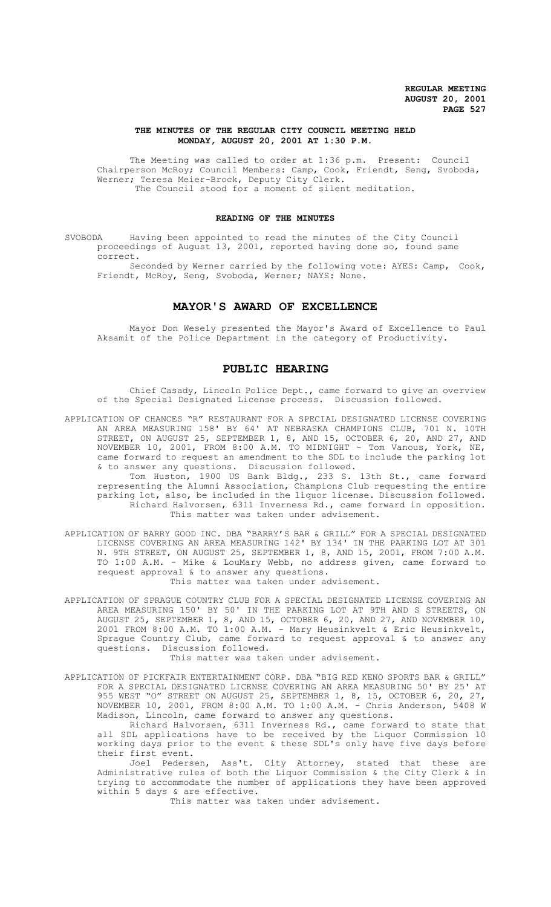# **THE MINUTES OF THE REGULAR CITY COUNCIL MEETING HELD MONDAY, AUGUST 20, 2001 AT 1:30 P.M.**

The Meeting was called to order at 1:36 p.m. Present: Council Chairperson McRoy; Council Members: Camp, Cook, Friendt, Seng, Svoboda, Werner; Teresa Meier-Brock, Deputy City Clerk. The Council stood for a moment of silent meditation.

# **READING OF THE MINUTES**

SVOBODA Having been appointed to read the minutes of the City Council proceedings of August 13, 2001, reported having done so, found same correct.

Seconded by Werner carried by the following vote: AYES: Camp, Cook, Friendt, McRoy, Seng, Svoboda, Werner; NAYS: None.

# **MAYOR'S AWARD OF EXCELLENCE**

Mayor Don Wesely presented the Mayor's Award of Excellence to Paul Aksamit of the Police Department in the category of Productivity.

# **PUBLIC HEARING**

Chief Casady, Lincoln Police Dept., came forward to give an overview of the Special Designated License process. Discussion followed.

APPLICATION OF CHANCES "R" RESTAURANT FOR A SPECIAL DESIGNATED LICENSE COVERING AN AREA MEASURING 158' BY 64' AT NEBRASKA CHAMPIONS CLUB, 701 N. 10TH STREET, ON AUGUST 25, SEPTEMBER 1, 8, AND 15, OCTOBER 6, 20, AND 27, AND NOVEMBER 10, 2001, FROM 8:00 A.M. TO MIDNIGHT - Tom Vanous, York, NE, came forward to request an amendment to the SDL to include the parking lot & to answer any questions. Discussion followed.

Tom Huston, 1900 US Bank Bldg., 233 S. 13th St., came forward representing the Alumni Association, Champions Club requesting the entire parking lot, also, be included in the liquor license. Discussion followed. Richard Halvorsen, 6311 Inverness Rd., came forward in opposition. This matter was taken under advisement.

APPLICATION OF BARRY GOOD INC. DBA "BARRY'S BAR & GRILL" FOR A SPECIAL DESIGNATED LICENSE COVERING AN AREA MEASURING 142' BY 134' IN THE PARKING LOT AT 301 N. 9TH STREET, ON AUGUST 25, SEPTEMBER 1, 8, AND 15, 2001, FROM 7:00 A.M. TO 1:00 A.M. - Mike & LouMary Webb, no address given, came forward to request approval & to answer any questions.

This matter was taken under advisement.

APPLICATION OF SPRAGUE COUNTRY CLUB FOR A SPECIAL DESIGNATED LICENSE COVERING AN AREA MEASURING 150' BY 50' IN THE PARKING LOT AT 9TH AND S STREETS, ON AUGUST 25, SEPTEMBER 1, 8, AND 15, OCTOBER 6, 20, AND 27, AND NOVEMBER 10, 2001 FROM 8:00 A.M. TO 1:00 A.M. - Mary Heusinkvelt & Eric Heusinkvelt, Sprague Country Club, came forward to request approval & to answer any questions. Discussion followed.

This matter was taken under advisement.

APPLICATION OF PICKFAIR ENTERTAINMENT CORP. DBA "BIG RED KENO SPORTS BAR & GRILL" FOR A SPECIAL DESIGNATED LICENSE COVERING AN AREA MEASURING 50' BY 25' AT 955 WEST "O" STREET ON AUGUST 25, SEPTEMBER 1, 8, 15, OCTOBER 6, 20, 27, NOVEMBER 10, 2001, FROM 8:00 A.M. TO 1:00 A.M. - Chris Anderson, 5408 W Madison, Lincoln, came forward to answer any questions.

Richard Halvorsen, 6311 Inverness Rd., came forward to state that all SDL applications have to be received by the Liquor Commission 10 working days prior to the event & these SDL's only have five days before their first event.

Joel Pedersen, Ass't. City Attorney, stated that these are Administrative rules of both the Liquor Commission & the City Clerk & in trying to accommodate the number of applications they have been approved within 5 days & are effective.

This matter was taken under advisement.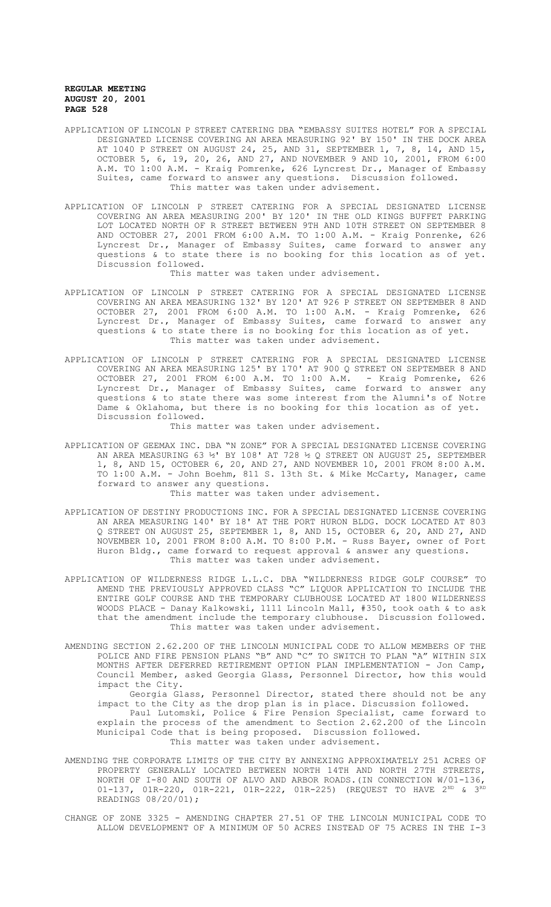- APPLICATION OF LINCOLN P STREET CATERING DBA "EMBASSY SUITES HOTEL" FOR A SPECIAL DESIGNATED LICENSE COVERING AN AREA MEASURING 92' BY 150' IN THE DOCK AREA AT 1040 P STREET ON AUGUST 24, 25, AND 31, SEPTEMBER 1, 7, 8, 14, AND 15, OCTOBER 5, 6, 19, 20, 26, AND 27, AND NOVEMBER 9 AND 10, 2001, FROM 6:00 A.M. TO 1:00 A.M. - Kraig Pomrenke, 626 Lyncrest Dr., Manager of Embassy Suites, came forward to answer any questions. Discussion followed. This matter was taken under advisement.
- APPLICATION OF LINCOLN P STREET CATERING FOR A SPECIAL DESIGNATED LICENSE COVERING AN AREA MEASURING 200' BY 120' IN THE OLD KINGS BUFFET PARKING LOT LOCATED NORTH OF R STREET BETWEEN 9TH AND 10TH STREET ON SEPTEMBER 8 AND OCTOBER 27, 2001 FROM 6:00 A.M. TO 1:00 A.M. - Kraig Ponrenke, 626 Lyncrest Dr., Manager of Embassy Suites, came forward to answer any questions & to state there is no booking for this location as of yet. Discussion followed.

This matter was taken under advisement.

- APPLICATION OF LINCOLN P STREET CATERING FOR A SPECIAL DESIGNATED LICENSE COVERING AN AREA MEASURING 132' BY 120' AT 926 P STREET ON SEPTEMBER 8 AND OCTOBER 27, 2001 FROM 6:00 A.M. TO 1:00 A.M. - Kraig Pomrenke, 626 Lyncrest Dr., Manager of Embassy Suites, came forward to answer any questions & to state there is no booking for this location as of yet. This matter was taken under advisement.
- APPLICATION OF LINCOLN P STREET CATERING FOR A SPECIAL DESIGNATED LICENSE COVERING AN AREA MEASURING 125' BY 170' AT 900 Q STREET ON SEPTEMBER 8 AND OCTOBER 27, 2001 FROM 6:00 A.M. TO 1:00 A.M. - Kraig Pomrenke, 626 Lyncrest Dr., Manager of Embassy Suites, came forward to answer any questions & to state there was some interest from the Alumni's of Notre Dame & Oklahoma, but there is no booking for this location as of yet. Discussion followed.

This matter was taken under advisement.

APPLICATION OF GEEMAX INC. DBA "N ZONE" FOR A SPECIAL DESIGNATED LICENSE COVERING AN AREA MEASURING 63 ½' BY 108' AT 728 ½ Q STREET ON AUGUST 25, SEPTEMBER 1, 8, AND 15, OCTOBER 6, 20, AND 27, AND NOVEMBER 10, 2001 FROM 8:00 A.M. TO 1:00 A.M. - John Boehm, 811 S. 13th St. & Mike McCarty, Manager, came forward to answer any questions.

This matter was taken under advisement.

- APPLICATION OF DESTINY PRODUCTIONS INC. FOR A SPECIAL DESIGNATED LICENSE COVERING AN AREA MEASURING 140' BY 18' AT THE PORT HURON BLDG. DOCK LOCATED AT 803 Q STREET ON AUGUST 25, SEPTEMBER 1, 8, AND 15, OCTOBER 6, 20, AND 27, AND NOVEMBER 10, 2001 FROM 8:00 A.M. TO 8:00 P.M. - Russ Bayer, owner of Port Huron Bldg., came forward to request approval & answer any questions. This matter was taken under advisement.
- APPLICATION OF WILDERNESS RIDGE L.L.C. DBA "WILDERNESS RIDGE GOLF COURSE" TO AMEND THE PREVIOUSLY APPROVED CLASS "C" LIQUOR APPLICATION TO INCLUDE THE ENTIRE GOLF COURSE AND THE TEMPORARY CLUBHOUSE LOCATED AT 1800 WILDERNESS WOODS PLACE - Danay Kalkowski, 1111 Lincoln Mall, #350, took oath & to ask that the amendment include the temporary clubhouse. Discussion followed. This matter was taken under advisement.
- AMENDING SECTION 2.62.200 OF THE LINCOLN MUNICIPAL CODE TO ALLOW MEMBERS OF THE POLICE AND FIRE PENSION PLANS "B" AND "C" TO SWITCH TO PLAN "A" WITHIN SIX MONTHS AFTER DEFERRED RETIREMENT OPTION PLAN IMPLEMENTATION - Jon Camp, Council Member, asked Georgia Glass, Personnel Director, how this would impact the City.

Georgia Glass, Personnel Director, stated there should not be any impact to the City as the drop plan is in place. Discussion followed. Paul Lutomski, Police & Fire Pension Specialist, came forward to

explain the process of the amendment to Section 2.62.200 of the Lincoln Municipal Code that is being proposed. Discussion followed. This matter was taken under advisement.

- AMENDING THE CORPORATE LIMITS OF THE CITY BY ANNEXING APPROXIMATELY 251 ACRES OF PROPERTY GENERALLY LOCATED BETWEEN NORTH 14TH AND NORTH 27TH STREETS, NORTH OF I-80 AND SOUTH OF ALVO AND ARBOR ROADS.(IN CONNECTION W/01-136, 01-137, 01R-220, 01R-221, 01R-222, 01R-225) (REQUEST TO HAVE  $2^{ND}$  &  $3^{RD}$ READINGS 08/20/01);
- CHANGE OF ZONE 3325 AMENDING CHAPTER 27.51 OF THE LINCOLN MUNICIPAL CODE TO ALLOW DEVELOPMENT OF A MINIMUM OF 50 ACRES INSTEAD OF 75 ACRES IN THE I-3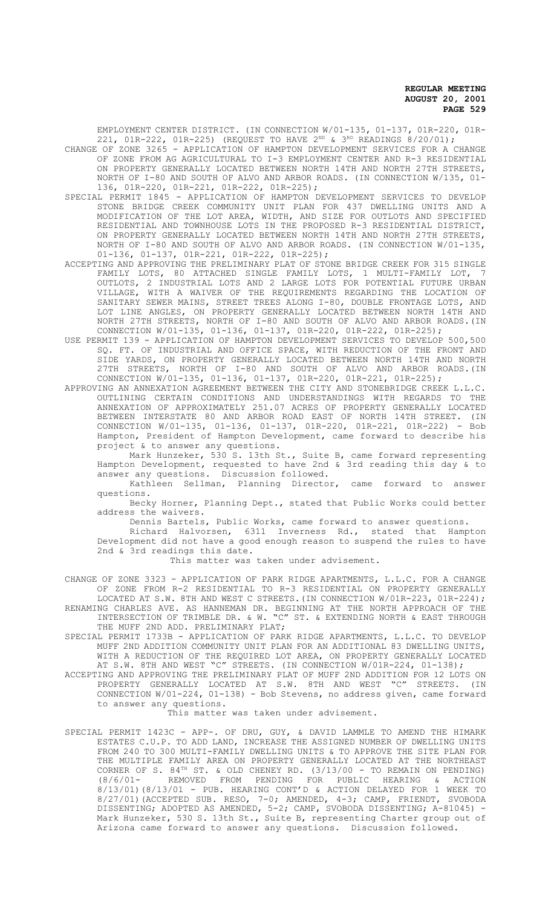EMPLOYMENT CENTER DISTRICT. (IN CONNECTION W/01-135, 01-137, 01R-220, 01R-221, 01R-222, 01R-225) (REQUEST TO HAVE  $2^{ND}$  &  $3^{RD}$  READINGS 8/20/01);

- CHANGE OF ZONE 3265 APPLICATION OF HAMPTON DEVELOPMENT SERVICES FOR A CHANGE OF ZONE FROM AG AGRICULTURAL TO I-3 EMPLOYMENT CENTER AND R-3 RESIDENTIAL ON PROPERTY GENERALLY LOCATED BETWEEN NORTH 14TH AND NORTH 27TH STREETS, NORTH OF I-80 AND SOUTH OF ALVO AND ARBOR ROADS. (IN CONNECTION W/135, 01- 136, 01R-220, 01R-221, 01R-222, 01R-225);
- SPECIAL PERMIT 1845 APPLICATION OF HAMPTON DEVELOPMENT SERVICES TO DEVELOP STONE BRIDGE CREEK COMMUNITY UNIT PLAN FOR 437 DWELLING UNITS AND A MODIFICATION OF THE LOT AREA, WIDTH, AND SIZE FOR OUTLOTS AND SPECIFIED RESIDENTIAL AND TOWNHOUSE LOTS IN THE PROPOSED R-3 RESIDENTIAL DISTRICT, ON PROPERTY GENERALLY LOCATED BETWEEN NORTH 14TH AND NORTH 27TH STREETS, NORTH OF I-80 AND SOUTH OF ALVO AND ARBOR ROADS. (IN CONNECTION W/01-135, 01-136, 01-137, 01R-221, 01R-222, 01R-225);
- ACCEPTING AND APPROVING THE PRELIMINARY PLAT OF STONE BRIDGE CREEK FOR 315 SINGLE FAMILY LOTS, 80 ATTACHED SINGLE FAMILY LOTS, 1 MULTI-FAMILY LOT, OUTLOTS, 2 INDUSTRIAL LOTS AND 2 LARGE LOTS FOR POTENTIAL FUTURE URBAN VILLAGE, WITH A WAIVER OF THE REQUIREMENTS REGARDING THE LOCATION OF SANITARY SEWER MAINS, STREET TREES ALONG I-80, DOUBLE FRONTAGE LOTS, AND LOT LINE ANGLES, ON PROPERTY GENERALLY LOCATED BETWEEN NORTH 14TH AND NORTH 27TH STREETS, NORTH OF I-80 AND SOUTH OF ALVO AND ARBOR ROADS.(IN CONNECTION W/01-135, 01-136, 01-137, 01R-220, 01R-222, 01R-225);
- USE PERMIT 139 APPLICATION OF HAMPTON DEVELOPMENT SERVICES TO DEVELOP 500,500 SQ. FT. OF INDUSTRIAL AND OFFICE SPACE, WITH REDUCTION OF THE FRONT AND SIDE YARDS, ON PROPERTY GENERALLY LOCATED BETWEEN NORTH 14TH AND NORTH 27TH STREETS, NORTH OF I-80 AND SOUTH OF ALVO AND ARBOR ROADS.(IN CONNECTION W/01-135, 01-136, 01-137, 01R-220, 01R-221, 01R-225);
- APPROVING AN ANNEXATION AGREEMENT BETWEEN THE CITY AND STONEBRIDGE CREEK L.L.C. OUTLINING CERTAIN CONDITIONS AND UNDERSTANDINGS WITH REGARDS TO THE ANNEXATION OF APPROXIMATELY 251.07 ACRES OF PROPERTY GENERALLY LOCATED BETWEEN INTERSTATE 80 AND ARBOR ROAD EAST OF NORTH 14TH STREET. (IN CONNECTION W/01-135, 01-136, 01-137, 01R-220, 01R-221, 01R-222) - Bob Hampton, President of Hampton Development, came forward to describe his project & to answer any questions.

Mark Hunzeker, 530 S. 13th St., Suite B, came forward representing Hampton Development, requested to have 2nd & 3rd reading this day & to answer any questions. Discussion followed.

Kathleen Sellman, Planning Director, came forward to answer questions.

Becky Horner, Planning Dept., stated that Public Works could better address the waivers.

Dennis Bartels, Public Works, came forward to answer questions.

Richard Halvorsen, 6311 Inverness Rd., stated that Hampton Development did not have a good enough reason to suspend the rules to have 2nd & 3rd readings this date.

This matter was taken under advisement.

CHANGE OF ZONE 3323 - APPLICATION OF PARK RIDGE APARTMENTS, L.L.C. FOR A CHANGE OF ZONE FROM R-2 RESIDENTIAL TO R-3 RESIDENTIAL ON PROPERTY GENERALLY LOCATED AT S.W. 8TH AND WEST C STREETS.(IN CONNECTION W/01R-223, 01R-224); RENAMING CHARLES AVE. AS HANNEMAN DR. BEGINNING AT THE NORTH APPROACH OF THE INTERSECTION OF TRIMBLE DR. & W. "C" ST. & EXTENDING NORTH & EAST THROUGH

THE MUFF 2ND ADD. PRELIMINARY PLAT; SPECIAL PERMIT 1733B - APPLICATION OF PARK RIDGE APARTMENTS, L.L.C. TO DEVELOP MUFF 2ND ADDITION COMMUNITY UNIT PLAN FOR AN ADDITIONAL 83 DWELLING UNITS, WITH A REDUCTION OF THE REQUIRED LOT AREA, ON PROPERTY GENERALLY LOCATED AT S.W. 8TH AND WEST "C" STREETS. (IN CONNECTION W/01R-224, 01-138);

ACCEPTING AND APPROVING THE PRELIMINARY PLAT OF MUFF 2ND ADDITION FOR 12 LOTS ON PROPERTY GENERALLY LOCATED AT S.W. 8TH AND WEST "C" STREETS. (IN CONNECTION W/01-224, 01-138) - Bob Stevens, no address given, came forward to answer any questions.

This matter was taken under advisement.

SPECIAL PERMIT 1423C - APP-. OF DRU, GUY, & DAVID LAMMLE TO AMEND THE HIMARK ESTATES C.U.P. TO ADD LAND, INCREASE THE ASSIGNED NUMBER OF DWELLING UNITS FROM 240 TO 300 MULTI-FAMILY DWELLING UNITS & TO APPROVE THE SITE PLAN FOR THE MULTIPLE FAMILY AREA ON PROPERTY GENERALLY LOCATED AT THE NORTHEAST CORNER OF S.  $84^{TH}$  ST. & OLD CHENEY RD.  $(3/13/00 - T0)$  REMAIN ON PENDING) (8/6/01- REMOVED FROM PENDING FOR PUBLIC HEARING & ACTION 8/13/01)(8/13/01 - PUB. HEARING CONT'D & ACTION DELAYED FOR 1 WEEK TO 8/27/01)(ACCEPTED SUB. RESO, 7-0; AMENDED, 4-3; CAMP, FRIENDT, SVOBODA DISSENTING; ADOPTED AS AMENDED, 5-2; CAMP, SVOBODA DISSENTING; A-81045) - Mark Hunzeker, 530 S. 13th St., Suite B, representing Charter group out of Arizona came forward to answer any questions. Discussion followed.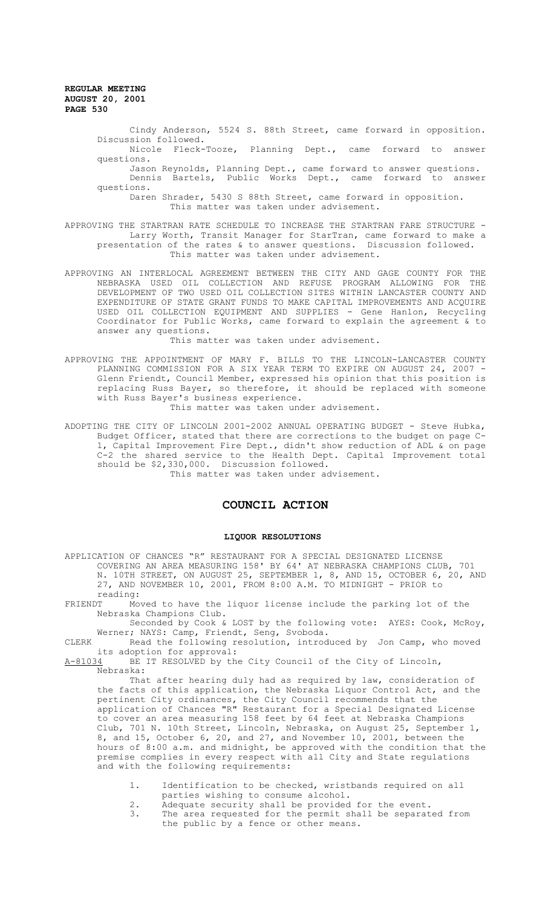> Cindy Anderson, 5524 S. 88th Street, came forward in opposition. Discussion followed.

> Nicole Fleck-Tooze, Planning Dept., came forward to answer questions.

> Jason Reynolds, Planning Dept., came forward to answer questions. Dennis Bartels, Public Works Dept., came forward to answer questions.

Daren Shrader, 5430 S 88th Street, came forward in opposition. This matter was taken under advisement.

- APPROVING THE STARTRAN RATE SCHEDULE TO INCREASE THE STARTRAN FARE STRUCTURE Larry Worth, Transit Manager for StarTran, came forward to make a presentation of the rates & to answer questions. Discussion followed. This matter was taken under advisement.
- APPROVING AN INTERLOCAL AGREEMENT BETWEEN THE CITY AND GAGE COUNTY FOR THE NEBRASKA USED OIL COLLECTION AND REFUSE PROGRAM ALLOWING FOR THE DEVELOPMENT OF TWO USED OIL COLLECTION SITES WITHIN LANCASTER COUNTY AND EXPENDITURE OF STATE GRANT FUNDS TO MAKE CAPITAL IMPROVEMENTS AND ACQUIRE USED OIL COLLECTION EQUIPMENT AND SUPPLIES - Gene Hanlon, Recycling Coordinator for Public Works, came forward to explain the agreement & to answer any questions.

This matter was taken under advisement.

APPROVING THE APPOINTMENT OF MARY F. BILLS TO THE LINCOLN-LANCASTER COUNTY PLANNING COMMISSION FOR A SIX YEAR TERM TO EXPIRE ON AUGUST 24, 2007 - Glenn Friendt, Council Member, expressed his opinion that this position is replacing Russ Bayer, so therefore, it should be replaced with someone with Russ Bayer's business experience.

This matter was taken under advisement.

ADOPTING THE CITY OF LINCOLN 2001-2002 ANNUAL OPERATING BUDGET - Steve Hubka, Budget Officer, stated that there are corrections to the budget on page C-1, Capital Improvement Fire Dept., didn't show reduction of ADL & on page C-2 the shared service to the Health Dept. Capital Improvement total should be \$2,330,000. Discussion followed.

This matter was taken under advisement.

# **COUNCIL ACTION**

#### **LIQUOR RESOLUTIONS**

APPLICATION OF CHANCES "R" RESTAURANT FOR A SPECIAL DESIGNATED LICENSE COVERING AN AREA MEASURING 158' BY 64' AT NEBRASKA CHAMPIONS CLUB, 701 N. 10TH STREET, ON AUGUST 25, SEPTEMBER 1, 8, AND 15, OCTOBER 6, 20, AND 27, AND NOVEMBER 10, 2001, FROM 8:00 A.M. TO MIDNIGHT - PRIOR to reading:<br>FRIENDT Mov

Moved to have the liquor license include the parking lot of the Nebraska Champions Club.

Seconded by Cook & LOST by the following vote: AYES: Cook, McRoy, Werner; NAYS: Camp, Friendt, Seng, Svoboda.

CLERK Read the following resolution, introduced by Jon Camp, who moved its adoption for approval:<br>A-81034 BE IT RESOLVED by th

BE IT RESOLVED by the City Council of the City of Lincoln, Nebraska:

That after hearing duly had as required by law, consideration of the facts of this application, the Nebraska Liquor Control Act, and the pertinent City ordinances, the City Council recommends that the application of Chances "R" Restaurant for a Special Designated License to cover an area measuring 158 feet by 64 feet at Nebraska Champions Club, 701 N. 10th Street, Lincoln, Nebraska, on August 25, September 1, 8, and 15, October 6, 20, and 27, and November 10, 2001, between the hours of 8:00 a.m. and midnight, be approved with the condition that the premise complies in every respect with all City and State regulations and with the following requirements:

- 1. Identification to be checked, wristbands required on all parties wishing to consume alcohol.
- 2. Adequate security shall be provided for the event.<br>3 The area requested for the permit shall be separat
- The area requested for the permit shall be separated from the public by a fence or other means.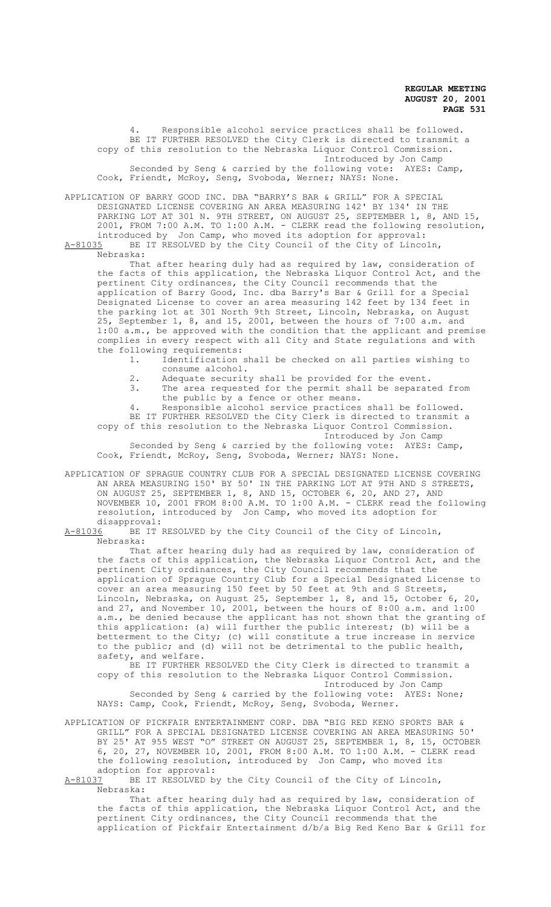Responsible alcohol service practices shall be followed. BE IT FURTHER RESOLVED the City Clerk is directed to transmit a copy of this resolution to the Nebraska Liquor Control Commission. Introduced by Jon Camp Seconded by Seng & carried by the following vote: AYES: Camp, Cook, Friendt, McRoy, Seng, Svoboda, Werner; NAYS: None.

APPLICATION OF BARRY GOOD INC. DBA "BARRY'S BAR & GRILL" FOR A SPECIAL DESIGNATED LICENSE COVERING AN AREA MEASURING 142' BY 134' IN THE PARKING LOT AT 301 N. 9TH STREET, ON AUGUST 25, SEPTEMBER 1, 8, AND 15, 2001, FROM 7:00 A.M. TO 1:00 A.M. - CLERK read the following resolution, introduced by Jon Camp, who moved its adoption for approval: A-81035 BE IT RESOLVED by the City Council of the City of Lincoln,

Nebraska:

That after hearing duly had as required by law, consideration of the facts of this application, the Nebraska Liquor Control Act, and the pertinent City ordinances, the City Council recommends that the application of Barry Good, Inc. dba Barry's Bar & Grill for a Special Designated License to cover an area measuring 142 feet by 134 feet in the parking lot at 301 North 9th Street, Lincoln, Nebraska, on August 25, September 1, 8, and 15, 2001, between the hours of 7:00 a.m. and 1:00 a.m., be approved with the condition that the applicant and premise complies in every respect with all City and State regulations and with the following requirements:<br>1. Identification

- Identification shall be checked on all parties wishing to consume alcohol.
- 2. Adequate security shall be provided for the event.<br><sup>3</sup> The area requested for the permit shall be separat
- The area requested for the permit shall be separated from the public by a fence or other means.
- 4. Responsible alcohol service practices shall be followed.

BE IT FURTHER RESOLVED the City Clerk is directed to transmit a copy of this resolution to the Nebraska Liquor Control Commission.

Introduced by Jon Camp Seconded by Seng & carried by the following vote: AYES: Camp, Cook, Friendt, McRoy, Seng, Svoboda, Werner; NAYS: None.

APPLICATION OF SPRAGUE COUNTRY CLUB FOR A SPECIAL DESIGNATED LICENSE COVERING AN AREA MEASURING 150' BY 50' IN THE PARKING LOT AT 9TH AND S STREETS, ON AUGUST 25, SEPTEMBER 1, 8, AND 15, OCTOBER 6, 20, AND 27, AND NOVEMBER 10, 2001 FROM 8:00 A.M. TO 1:00 A.M. - CLERK read the following resolution, introduced by Jon Camp, who moved its adoption for disapproval:<br>A-81036 BE IT I

BE IT RESOLVED by the City Council of the City of Lincoln, Nebraska:

That after hearing duly had as required by law, consideration of the facts of this application, the Nebraska Liquor Control Act, and the pertinent City ordinances, the City Council recommends that the application of Sprague Country Club for a Special Designated License to cover an area measuring 150 feet by 50 feet at 9th and S Streets, Lincoln, Nebraska, on August 25, September 1, 8, and 15, October 6, 20, and 27, and November 10, 2001, between the hours of 8:00 a.m. and 1:00 a.m., be denied because the applicant has not shown that the granting of this application: (a) will further the public interest; (b) will be a betterment to the City; (c) will constitute a true increase in service to the public; and (d) will not be detrimental to the public health, safety, and welfare.

BE IT FURTHER RESOLVED the City Clerk is directed to transmit a copy of this resolution to the Nebraska Liquor Control Commission. Introduced by Jon Camp

Seconded by Seng & carried by the following vote: AYES: None; NAYS: Camp, Cook, Friendt, McRoy, Seng, Svoboda, Werner.

APPLICATION OF PICKFAIR ENTERTAINMENT CORP. DBA "BIG RED KENO SPORTS BAR & GRILL" FOR A SPECIAL DESIGNATED LICENSE COVERING AN AREA MEASURING 50' BY 25' AT 955 WEST "O" STREET ON AUGUST 25, SEPTEMBER 1, 8, 15, OCTOBER 6, 20, 27, NOVEMBER 10, 2001, FROM 8:00 A.M. TO 1:00 A.M. - CLERK read the following resolution, introduced by Jon Camp, who moved its adoption for approval:<br>A-81037 BE IT RESOLVED b

BE IT RESOLVED by the City Council of the City of Lincoln, Nebraska:

That after hearing duly had as required by law, consideration of the facts of this application, the Nebraska Liquor Control Act, and the pertinent City ordinances, the City Council recommends that the application of Pickfair Entertainment d/b/a Big Red Keno Bar & Grill for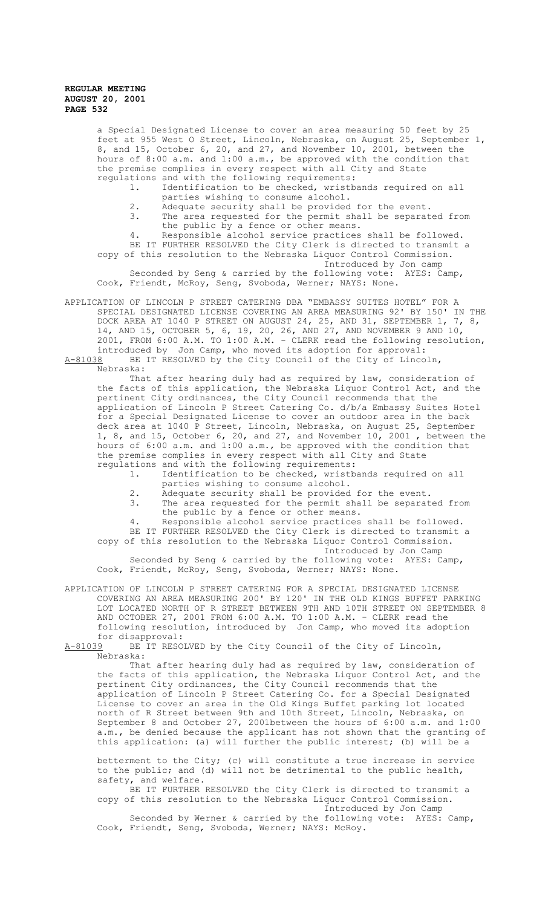> a Special Designated License to cover an area measuring 50 feet by 25 feet at 955 West O Street, Lincoln, Nebraska, on August 25, September 1, 8, and 15, October 6, 20, and 27, and November 10, 2001, between the hours of 8:00 a.m. and 1:00 a.m., be approved with the condition that the premise complies in every respect with all City and State regulations and with the following requirements:

- 1. Identification to be checked, wristbands required on all parties wishing to consume alcohol.
- 2. Adequate security shall be provided for the event.<br>3 The area requested for the permit shall be separat
	- The area requested for the permit shall be separated from the public by a fence or other means.

4. Responsible alcohol service practices shall be followed. BE IT FURTHER RESOLVED the City Clerk is directed to transmit a copy of this resolution to the Nebraska Liquor Control Commission.

Introduced by Jon camp Seconded by Seng & carried by the following vote: AYES: Camp,

Cook, Friendt, McRoy, Seng, Svoboda, Werner; NAYS: None.

APPLICATION OF LINCOLN P STREET CATERING DBA "EMBASSY SUITES HOTEL" FOR A SPECIAL DESIGNATED LICENSE COVERING AN AREA MEASURING 92' BY 150' IN THE DOCK AREA AT 1040 P STREET ON AUGUST 24, 25, AND 31, SEPTEMBER 1, 7, 8, 14, AND 15, OCTOBER 5, 6, 19, 20, 26, AND 27, AND NOVEMBER 9 AND 10, 2001, FROM 6:00 A.M. TO 1:00 A.M. - CLERK read the following resolution, introduced by Jon Camp, who moved its adoption for approval: A-81038 BE IT RESOLVED by the City Council of the City of Lincoln,

Nebraska:

That after hearing duly had as required by law, consideration of the facts of this application, the Nebraska Liquor Control Act, and the pertinent City ordinances, the City Council recommends that the application of Lincoln P Street Catering Co. d/b/a Embassy Suites Hotel for a Special Designated License to cover an outdoor area in the back deck area at 1040 P Street, Lincoln, Nebraska, on August 25, September 1, 8, and 15, October 6, 20, and 27, and November 10, 2001 , between the hours of 6:00 a.m. and 1:00 a.m., be approved with the condition that the premise complies in every respect with all City and State

- regulations and with the following requirements:<br>1. Identification to be checked, wristb. Identification to be checked, wristbands required on all parties wishing to consume alcohol.
	- 2. Adequate security shall be provided for the event.<br>3. The area requested for the permit shall be separat
	- The area requested for the permit shall be separated from the public by a fence or other means.

4. Responsible alcohol service practices shall be followed. BE IT FURTHER RESOLVED the City Clerk is directed to transmit a copy of this resolution to the Nebraska Liquor Control Commission.

Introduced by Jon Camp Seconded by Seng & carried by the following vote: AYES: Camp, Cook, Friendt, McRoy, Seng, Svoboda, Werner; NAYS: None.

APPLICATION OF LINCOLN P STREET CATERING FOR A SPECIAL DESIGNATED LICENSE COVERING AN AREA MEASURING 200' BY 120' IN THE OLD KINGS BUFFET PARKING LOT LOCATED NORTH OF R STREET BETWEEN 9TH AND 10TH STREET ON SEPTEMBER 8 AND OCTOBER 27, 2001 FROM 6:00 A.M. TO 1:00 A.M. - CLERK read the following resolution, introduced by Jon Camp, who moved its adoption for disapproval:

A-81039 BE IT RESOLVED by the City Council of the City of Lincoln, Nebraska:

That after hearing duly had as required by law, consideration of the facts of this application, the Nebraska Liquor Control Act, and the pertinent City ordinances, the City Council recommends that the application of Lincoln P Street Catering Co. for a Special Designated License to cover an area in the Old Kings Buffet parking lot located north of R Street between 9th and 10th Street, Lincoln, Nebraska, on September 8 and October 27, 2001between the hours of 6:00 a.m. and 1:00 a.m., be denied because the applicant has not shown that the granting of this application: (a) will further the public interest; (b) will be a

betterment to the City; (c) will constitute a true increase in service to the public; and (d) will not be detrimental to the public health, safety, and welfare.

BE IT FURTHER RESOLVED the City Clerk is directed to transmit a copy of this resolution to the Nebraska Liquor Control Commission. Introduced by Jon Camp

Seconded by Werner & carried by the following vote: AYES: Camp, Cook, Friendt, Seng, Svoboda, Werner; NAYS: McRoy.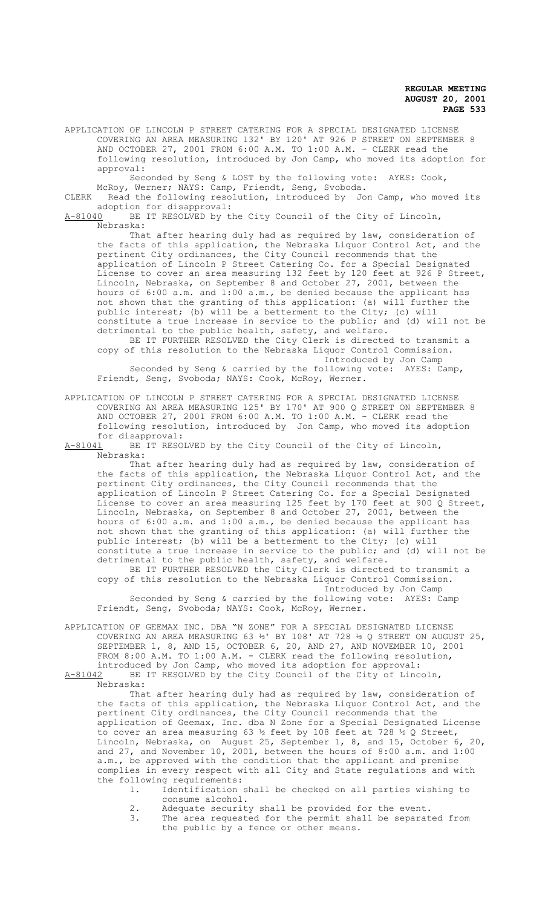APPLICATION OF LINCOLN P STREET CATERING FOR A SPECIAL DESIGNATED LICENSE COVERING AN AREA MEASURING 132' BY 120' AT 926 P STREET ON SEPTEMBER 8 AND OCTOBER 27, 2001 FROM 6:00 A.M. TO 1:00 A.M. - CLERK read the following resolution, introduced by Jon Camp, who moved its adoption for approval:

Seconded by Seng & LOST by the following vote: AYES: Cook, McRoy, Werner; NAYS: Camp, Friendt, Seng, Svoboda.

CLERK Read the following resolution, introduced by Jon Camp, who moved its adoption for disapproval:

A-81040 BE IT RESOLVED by the City Council of the City of Lincoln, Nebraska:

That after hearing duly had as required by law, consideration of the facts of this application, the Nebraska Liquor Control Act, and the pertinent City ordinances, the City Council recommends that the application of Lincoln P Street Catering Co. for a Special Designated License to cover an area measuring 132 feet by 120 feet at 926 P Street, Lincoln, Nebraska, on September 8 and October 27, 2001, between the hours of 6:00 a.m. and 1:00 a.m., be denied because the applicant has not shown that the granting of this application: (a) will further the public interest; (b) will be a betterment to the City; (c) will constitute a true increase in service to the public; and (d) will not be detrimental to the public health, safety, and welfare. BE IT FURTHER RESOLVED the City Clerk is directed to transmit a

copy of this resolution to the Nebraska Liquor Control Commission. Introduced by Jon Camp

Seconded by Seng & carried by the following vote: AYES: Camp, Friendt, Seng, Svoboda; NAYS: Cook, McRoy, Werner.

APPLICATION OF LINCOLN P STREET CATERING FOR A SPECIAL DESIGNATED LICENSE COVERING AN AREA MEASURING 125' BY 170' AT 900 Q STREET ON SEPTEMBER 8 AND OCTOBER 27, 2001 FROM 6:00 A.M. TO 1:00 A.M. - CLERK read the following resolution, introduced by Jon Camp, who moved its adoption

for disapproval:<br>A-81041 BE IT RESO BE IT RESOLVED by the City Council of the City of Lincoln, Nebraska:

That after hearing duly had as required by law, consideration of the facts of this application, the Nebraska Liquor Control Act, and the pertinent City ordinances, the City Council recommends that the application of Lincoln P Street Catering Co. for a Special Designated License to cover an area measuring 125 feet by 170 feet at 900 Q Street, Lincoln, Nebraska, on September 8 and October 27, 2001, between the hours of 6:00 a.m. and 1:00 a.m., be denied because the applicant has not shown that the granting of this application: (a) will further the public interest; (b) will be a betterment to the City; (c) will constitute a true increase in service to the public; and (d) will not be detrimental to the public health, safety, and welfare. BE IT FURTHER RESOLVED the City Clerk is directed to transmit a copy of this resolution to the Nebraska Liquor Control Commission.

Introduced by Jon Camp Seconded by Seng & carried by the following vote: AYES: Camp Friendt, Seng, Svoboda; NAYS: Cook, McRoy, Werner.

APPLICATION OF GEEMAX INC. DBA "N ZONE" FOR A SPECIAL DESIGNATED LICENSE COVERING AN AREA MEASURING 63  $\frac{1}{2}$ ' BY 108' AT 728  $\frac{1}{2}$  Q STREET ON AUGUST 25, SEPTEMBER 1, 8, AND 15, OCTOBER 6, 20, AND 27, AND NOVEMBER 10, 2001 FROM 8:00 A.M. TO 1:00 A.M. - CLERK read the following resolution, introduced by Jon Camp, who moved its adoption for approval: A-81042 BE IT RESOLVED by the City Council of the City of Lincoln,

Nebraska:

That after hearing duly had as required by law, consideration of the facts of this application, the Nebraska Liquor Control Act, and the pertinent City ordinances, the City Council recommends that the application of Geemax, Inc. dba N Zone for a Special Designated License to cover an area measuring 63 ½ feet by 108 feet at 728 ½ Q Street, Lincoln, Nebraska, on August 25, September 1, 8, and 15, October 6, 20, and 27, and November 10, 2001, between the hours of 8:00 a.m. and 1:00 a.m., be approved with the condition that the applicant and premise complies in every respect with all City and State regulations and with the following requirements:<br>1. Identification

- Identification shall be checked on all parties wishing to consume alcohol.
- 2. Adequate security shall be provided for the event.
- 3. The area requested for the permit shall be separated from the public by a fence or other means.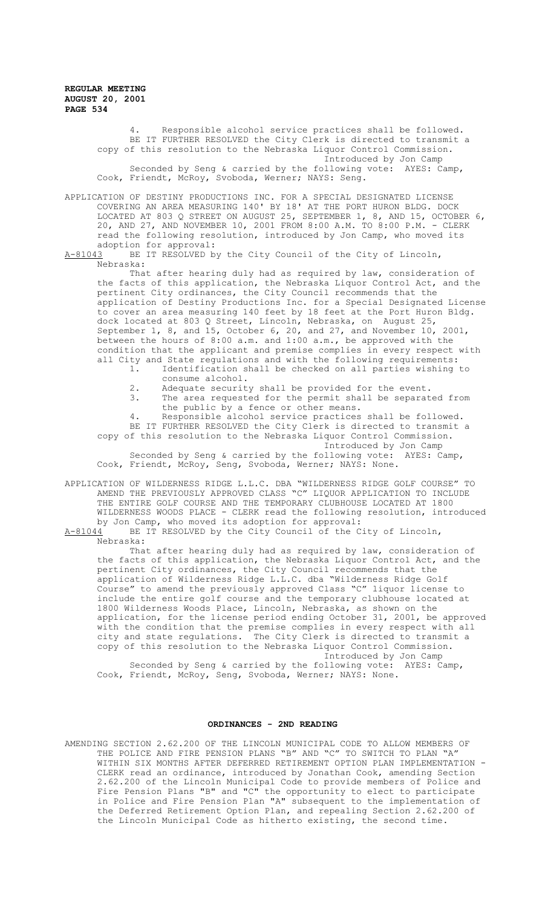> Responsible alcohol service practices shall be followed. BE IT FURTHER RESOLVED the City Clerk is directed to transmit a copy of this resolution to the Nebraska Liquor Control Commission. Introduced by Jon Camp Seconded by Seng & carried by the following vote: AYES: Camp, Cook, Friendt, McRoy, Svoboda, Werner; NAYS: Seng.

APPLICATION OF DESTINY PRODUCTIONS INC. FOR A SPECIAL DESIGNATED LICENSE COVERING AN AREA MEASURING 140' BY 18' AT THE PORT HURON BLDG. DOCK LOCATED AT 803 Q STREET ON AUGUST 25, SEPTEMBER 1, 8, AND 15, OCTOBER 6, 20, AND 27, AND NOVEMBER 10, 2001 FROM 8:00 A.M. TO 8:00 P.M. - CLERK read the following resolution, introduced by Jon Camp, who moved its adoption for approval:<br>A-81043 BE IT RESOLVED b

BE IT RESOLVED by the City Council of the City of Lincoln, Nebraska:

That after hearing duly had as required by law, consideration of the facts of this application, the Nebraska Liquor Control Act, and the pertinent City ordinances, the City Council recommends that the application of Destiny Productions Inc. for a Special Designated License to cover an area measuring 140 feet by 18 feet at the Port Huron Bldg. dock located at 803 Q Street, Lincoln, Nebraska, on August 25, September 1, 8, and 15, October 6, 20, and 27, and November 10, 2001, between the hours of 8:00 a.m. and 1:00 a.m., be approved with the condition that the applicant and premise complies in every respect with all City and State regulations and with the following requirements:

- 1. Identification shall be checked on all parties wishing to consume alcohol.
- 2. Adequate security shall be provided for the event.<br>3 The area requested for the permit shall be separat
	- The area requested for the permit shall be separated from the public by a fence or other means.

Responsible alcohol service practices shall be followed. BE IT FURTHER RESOLVED the City Clerk is directed to transmit a copy of this resolution to the Nebraska Liquor Control Commission. Introduced by Jon Camp Seconded by Seng & carried by the following vote: AYES: Camp,

Cook, Friendt, McRoy, Seng, Svoboda, Werner; NAYS: None.

APPLICATION OF WILDERNESS RIDGE L.L.C. DBA "WILDERNESS RIDGE GOLF COURSE" TO AMEND THE PREVIOUSLY APPROVED CLASS "C" LIQUOR APPLICATION TO INCLUDE THE ENTIRE GOLF COURSE AND THE TEMPORARY CLUBHOUSE LOCATED AT 1800 WILDERNESS WOODS PLACE - CLERK read the following resolution, introduced by Jon Camp, who moved its adoption for approval:<br>A-81044 BE IT RESOLVED by the City Council of the C

BE IT RESOLVED by the City Council of the City of Lincoln, Nebraska:

That after hearing duly had as required by law, consideration of the facts of this application, the Nebraska Liquor Control Act, and the pertinent City ordinances, the City Council recommends that the application of Wilderness Ridge L.L.C. dba "Wilderness Ridge Golf Course" to amend the previously approved Class "C" liquor license to include the entire golf course and the temporary clubhouse located at 1800 Wilderness Woods Place, Lincoln, Nebraska, as shown on the application, for the license period ending October 31, 2001, be approved with the condition that the premise complies in every respect with all city and state regulations. The City Clerk is directed to transmit a copy of this resolution to the Nebraska Liquor Control Commission. Introduced by Jon Camp Seconded by Seng & carried by the following vote: AYES: Camp, Cook, Friendt, McRoy, Seng, Svoboda, Werner; NAYS: None.

#### **ORDINANCES - 2ND READING**

AMENDING SECTION 2.62.200 OF THE LINCOLN MUNICIPAL CODE TO ALLOW MEMBERS OF THE POLICE AND FIRE PENSION PLANS "B" AND "C" TO SWITCH TO PLAN "A" WITHIN SIX MONTHS AFTER DEFERRED RETIREMENT OPTION PLAN IMPLEMENTATION - CLERK read an ordinance, introduced by Jonathan Cook, amending Section 2.62.200 of the Lincoln Municipal Code to provide members of Police and Fire Pension Plans "B" and "C" the opportunity to elect to participate in Police and Fire Pension Plan "A" subsequent to the implementation of the Deferred Retirement Option Plan, and repealing Section 2.62.200 of the Lincoln Municipal Code as hitherto existing, the second time.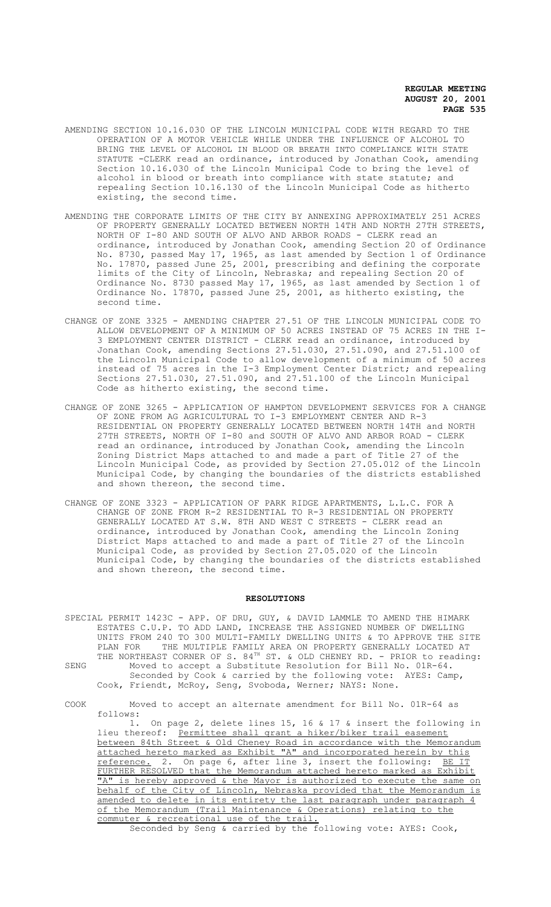- AMENDING SECTION 10.16.030 OF THE LINCOLN MUNICIPAL CODE WITH REGARD TO THE OPERATION OF A MOTOR VEHICLE WHILE UNDER THE INFLUENCE OF ALCOHOL TO BRING THE LEVEL OF ALCOHOL IN BLOOD OR BREATH INTO COMPLIANCE WITH STATE STATUTE -CLERK read an ordinance, introduced by Jonathan Cook, amending Section 10.16.030 of the Lincoln Municipal Code to bring the level of alcohol in blood or breath into compliance with state statute; and repealing Section 10.16.130 of the Lincoln Municipal Code as hitherto existing, the second time.
- AMENDING THE CORPORATE LIMITS OF THE CITY BY ANNEXING APPROXIMATELY 251 ACRES OF PROPERTY GENERALLY LOCATED BETWEEN NORTH 14TH AND NORTH 27TH STREETS, NORTH OF I-80 AND SOUTH OF ALVO AND ARBOR ROADS - CLERK read an ordinance, introduced by Jonathan Cook, amending Section 20 of Ordinance No. 8730, passed May 17, 1965, as last amended by Section 1 of Ordinance No. 17870, passed June 25, 2001, prescribing and defining the corporate limits of the City of Lincoln, Nebraska; and repealing Section 20 of Ordinance No. 8730 passed May 17, 1965, as last amended by Section 1 of Ordinance No. 17870, passed June 25, 2001, as hitherto existing, the second time.
- CHANGE OF ZONE 3325 AMENDING CHAPTER 27.51 OF THE LINCOLN MUNICIPAL CODE TO ALLOW DEVELOPMENT OF A MINIMUM OF 50 ACRES INSTEAD OF 75 ACRES IN THE I-3 EMPLOYMENT CENTER DISTRICT - CLERK read an ordinance, introduced by Jonathan Cook, amending Sections 27.51.030, 27.51.090, and 27.51.100 of the Lincoln Municipal Code to allow development of a minimum of 50 acres instead of 75 acres in the I-3 Employment Center District; and repealing Sections 27.51.030, 27.51.090, and 27.51.100 of the Lincoln Municipal Code as hitherto existing, the second time.
- CHANGE OF ZONE 3265 APPLICATION OF HAMPTON DEVELOPMENT SERVICES FOR A CHANGE OF ZONE FROM AG AGRICULTURAL TO I-3 EMPLOYMENT CENTER AND R-3 RESIDENTIAL ON PROPERTY GENERALLY LOCATED BETWEEN NORTH 14TH and NORTH 27TH STREETS, NORTH OF I-80 and SOUTH OF ALVO AND ARBOR ROAD - CLERK read an ordinance, introduced by Jonathan Cook, amending the Lincoln Zoning District Maps attached to and made a part of Title 27 of the Lincoln Municipal Code, as provided by Section 27.05.012 of the Lincoln Municipal Code, by changing the boundaries of the districts established and shown thereon, the second time.
- CHANGE OF ZONE 3323 APPLICATION OF PARK RIDGE APARTMENTS, L.L.C. FOR A CHANGE OF ZONE FROM R-2 RESIDENTIAL TO R-3 RESIDENTIAL ON PROPERTY GENERALLY LOCATED AT S.W. 8TH AND WEST C STREETS - CLERK read an ordinance, introduced by Jonathan Cook, amending the Lincoln Zoning District Maps attached to and made a part of Title 27 of the Lincoln Municipal Code, as provided by Section 27.05.020 of the Lincoln Municipal Code, by changing the boundaries of the districts established and shown thereon, the second time.

### **RESOLUTIONS**

- SPECIAL PERMIT 1423C APP. OF DRU, GUY, & DAVID LAMMLE TO AMEND THE HIMARK ESTATES C.U.P. TO ADD LAND, INCREASE THE ASSIGNED NUMBER OF DWELLING UNITS FROM 240 TO 300 MULTI-FAMILY DWELLING UNITS & TO APPROVE THE SITE<br>PLAN FOR THE MULTIPLE FAMILY AREA ON PROPERTY GENERALLY LOCATED AT THE MULTIPLE FAMILY AREA ON PROPERTY GENERALLY LOCATED AT THE NORTHEAST CORNER OF S. 84<sup>TH</sup> ST. & OLD CHENEY RD. - PRIOR to reading: SENG Moved to accept a Substitute Resolution for Bill No. 01R-64. Seconded by Cook & carried by the following vote: AYES: Camp, Cook, Friendt, McRoy, Seng, Svoboda, Werner; NAYS: None.
- COOK Moved to accept an alternate amendment for Bill No. 01R-64 as follows:

1. On page 2, delete lines 15, 16 & 17 & insert the following in lieu thereof: Permittee shall grant a hiker/biker trail easement between 84th Street & Old Cheney Road in accordance with the Memorandum attached hereto marked as Exhibit "A" and incorporated herein by this reference. 2. On page 6, after line 3, insert the following: BE IT FURTHER RESOLVED that the Memorandum attached hereto marked as Exhibit "A" is hereby approved & the Mayor is authorized to execute the same on behalf of the City of Lincoln, Nebraska provided that the Memorandum is amended to delete in its entirety the last paragraph under paragraph 4 of the Memorandum (Trail Maintenance & Operations) relating to the commuter & recreational use of the trail.

Seconded by Seng & carried by the following vote: AYES: Cook,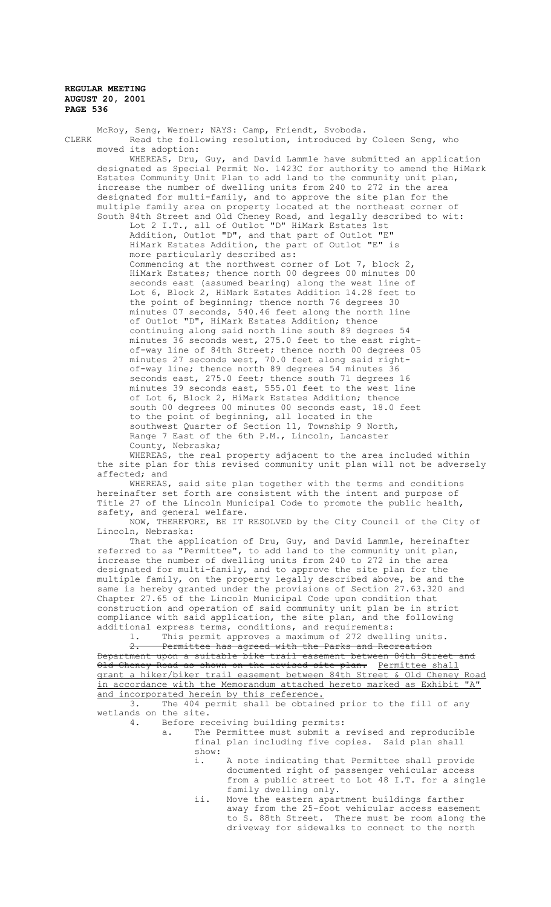McRoy, Seng, Werner; NAYS: Camp, Friendt, Svoboda. CLERK Read the following resolution, introduced by Coleen Seng, who moved its adoption: WHEREAS, Dru, Guy, and David Lammle have submitted an application designated as Special Permit No. 1423C for authority to amend the HiMark Estates Community Unit Plan to add land to the community unit plan, increase the number of dwelling units from 240 to 272 in the area designated for multi-family, and to approve the site plan for the multiple family area on property located at the northeast corner of South 84th Street and Old Cheney Road, and legally described to wit: Lot 2 I.T., all of Outlot "D" HiMark Estates 1st Addition, Outlot "D", and that part of Outlot "E" HiMark Estates Addition, the part of Outlot "E" is more particularly described as: Commencing at the northwest corner of Lot 7, block 2, HiMark Estates; thence north 00 degrees 00 minutes 00 seconds east (assumed bearing) along the west line of Lot 6, Block 2, HiMark Estates Addition 14.28 feet to the point of beginning; thence north 76 degrees 30 minutes 07 seconds, 540.46 feet along the north line of Outlot "D", HiMark Estates Addition; thence continuing along said north line south 89 degrees 54 minutes 36 seconds west, 275.0 feet to the east rightof-way line of 84th Street; thence north 00 degrees 05 minutes 27 seconds west, 70.0 feet along said rightof-way line; thence north 89 degrees 54 minutes 36 seconds east, 275.0 feet; thence south 71 degrees 16 minutes 39 seconds east, 555.01 feet to the west line of Lot 6, Block 2, HiMark Estates Addition; thence south 00 degrees 00 minutes 00 seconds east, 18.0 feet to the point of beginning, all located in the southwest Quarter of Section 11, Township 9 North, Range 7 East of the 6th P.M., Lincoln, Lancaster County, Nebraska;

WHEREAS, the real property adjacent to the area included within the site plan for this revised community unit plan will not be adversely affected; and

WHEREAS, said site plan together with the terms and conditions hereinafter set forth are consistent with the intent and purpose of Title 27 of the Lincoln Municipal Code to promote the public health, safety, and general welfare.

NOW, THEREFORE, BE IT RESOLVED by the City Council of the City of Lincoln, Nebraska:

That the application of Dru, Guy, and David Lammle, hereinafter referred to as "Permittee", to add land to the community unit plan, increase the number of dwelling units from 240 to 272 in the area designated for multi-family, and to approve the site plan for the multiple family, on the property legally described above, be and the same is hereby granted under the provisions of Section 27.63.320 and Chapter 27.65 of the Lincoln Municipal Code upon condition that construction and operation of said community unit plan be in strict compliance with said application, the site plan, and the following additional express terms, conditions, and requirements:

1. This permit approves a maximum of 272 dwelling units.

2. Permittee has agreed with the Parks and Recreation Department upon a suitable bike trail easement between 84th Street Old Cheney Road as shown on the revised site plan. Permittee shall grant a hiker/biker trail easement between 84th Street & Old Cheney Road in accordance with the Memorandum attached hereto marked as Exhibit "A" and incorporated herein by this reference.

3. The 404 permit shall be obtained prior to the fill of any wetlands on the site.<br>4. Before re

Before receiving building permits:

- a. The Permittee must submit a revised and reproducible final plan including five copies. Said plan shall show:
	- i. A note indicating that Permittee shall provide documented right of passenger vehicular access from a public street to Lot 48 I.T. for a single family dwelling only.
	- ii. Move the eastern apartment buildings farther away from the 25-foot vehicular access easement to S. 88th Street. There must be room along the driveway for sidewalks to connect to the north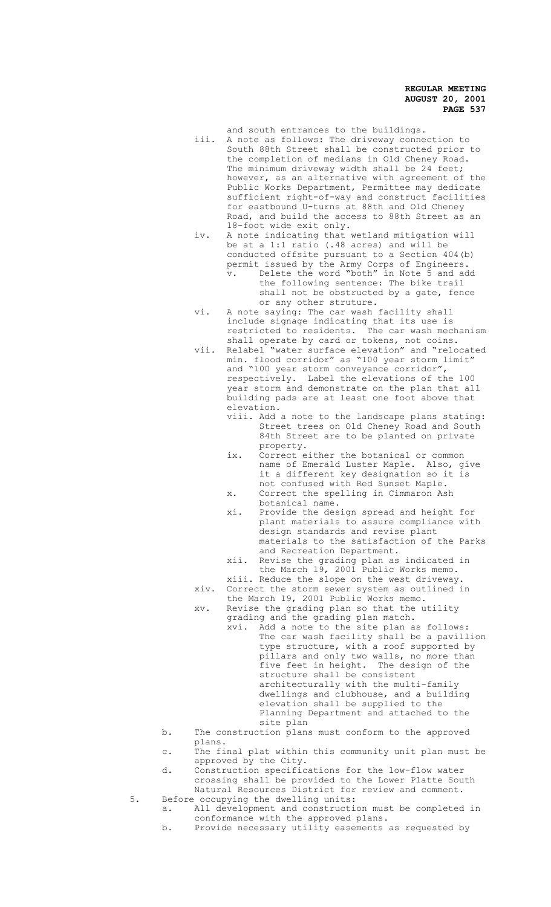and south entrances to the buildings.

- iii. A note as follows: The driveway connection to South 88th Street shall be constructed prior to the completion of medians in Old Cheney Road. The minimum driveway width shall be 24 feet; however, as an alternative with agreement of the Public Works Department, Permittee may dedicate sufficient right-of-way and construct facilities for eastbound U-turns at 88th and Old Cheney Road, and build the access to 88th Street as an 18-foot wide exit only.
- iv. A note indicating that wetland mitigation will be at a 1:1 ratio (.48 acres) and will be conducted offsite pursuant to a Section 404(b) permit issued by the Army Corps of Engineers. v. Delete the word "both" in Note 5 and add the following sentence: The bike trail shall not be obstructed by a gate, fence or any other struture.
- vi. A note saying: The car wash facility shall include signage indicating that its use is restricted to residents. The car wash mechanism shall operate by card or tokens, not coins.
- vii. Relabel "water surface elevation" and "relocated min. flood corridor" as "100 year storm limit" and "100 year storm conveyance corridor", respectively. Label the elevations of the 100 year storm and demonstrate on the plan that all building pads are at least one foot above that elevation.
	- viii. Add a note to the landscape plans stating: Street trees on Old Cheney Road and South 84th Street are to be planted on private property.
	- ix. Correct either the botanical or common name of Emerald Luster Maple. Also, give it a different key designation so it is not confused with Red Sunset Maple. x. Correct the spelling in Cimmaron Ash
	- botanical name. xi. Provide the design spread and height for plant materials to assure compliance with design standards and revise plant
		- materials to the satisfaction of the Parks and Recreation Department.
	- xii. Revise the grading plan as indicated in the March 19, 2001 Public Works memo.
- xiii. Reduce the slope on the west driveway. xiv. Correct the storm sewer system as outlined in the March 19, 2001 Public Works memo.
- xv. Revise the grading plan so that the utility grading and the grading plan match.
	- xvi. Add a note to the site plan as follows: The car wash facility shall be a pavillion type structure, with a roof supported by pillars and only two walls, no more than five feet in height. The design of the structure shall be consistent architecturally with the multi-family dwellings and clubhouse, and a building elevation shall be supplied to the Planning Department and attached to the
- site plan b. The construction plans must conform to the approved plans.
- c. The final plat within this community unit plan must be approved by the City.
- d. Construction specifications for the low-flow water crossing shall be provided to the Lower Platte South Natural Resources District for review and comment.
- 5. Before occupying the dwelling units: a. All development and construction must be completed in conformance with the approved plans.
	- b. Provide necessary utility easements as requested by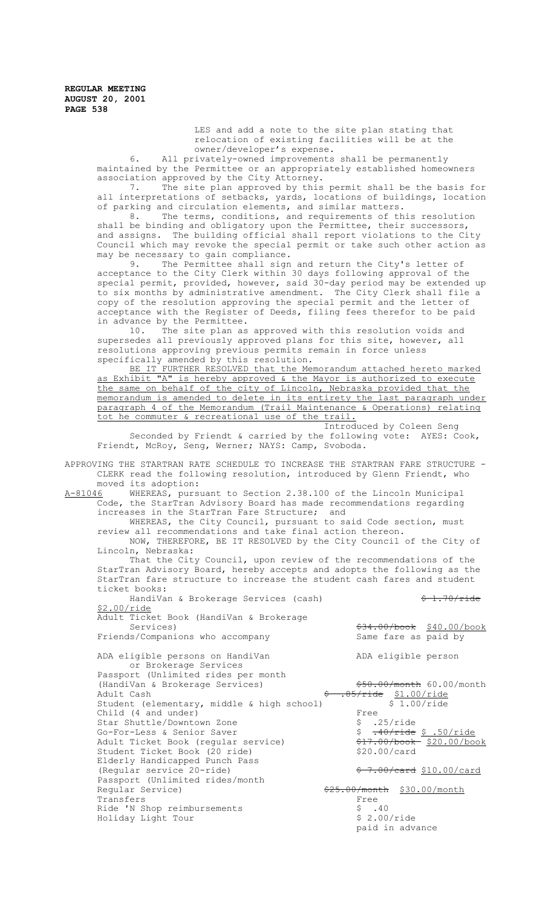> LES and add a note to the site plan stating that relocation of existing facilities will be at the owner/developer's expense.

6. All privately-owned improvements shall be permanently maintained by the Permittee or an appropriately established homeowners association approved by the City Attorney.

7. The site plan approved by this permit shall be the basis for all interpretations of setbacks, yards, locations of buildings, location of parking and circulation elements, and similar matters.

8. The terms, conditions, and requirements of this resolution shall be binding and obligatory upon the Permittee, their successors, and assigns. The building official shall report violations to the City Council which may revoke the special permit or take such other action as may be necessary to gain compliance.

9. The Permittee shall sign and return the City's letter of acceptance to the City Clerk within 30 days following approval of the special permit, provided, however, said 30-day period may be extended up to six months by administrative amendment. The City Clerk shall file a copy of the resolution approving the special permit and the letter of acceptance with the Register of Deeds, filing fees therefor to be paid in advance by the Permittee.

10. The site plan as approved with this resolution voids and supersedes all previously approved plans for this site, however, all resolutions approving previous permits remain in force unless specifically amended by this resolution.

BE IT FURTHER RESOLVED that the Memorandum attached hereto marked as Exhibit "A" is hereby approved & the Mayor is authorized to execute the same on behalf of the city of Lincoln, Nebraska provided that the memorandum is amended to delete in its entirety the last paragraph under paragraph 4 of the Memorandum (Trail Maintenance & Operations) relating tot he commuter & recreational use of the trail.

Introduced by Coleen Seng

Seconded by Friendt & carried by the following vote: AYES: Cook, Friendt, McRoy, Seng, Werner; NAYS: Camp, Svoboda.

APPROVING THE STARTRAN RATE SCHEDULE TO INCREASE THE STARTRAN FARE STRUCTURE - CLERK read the following resolution, introduced by Glenn Friendt, who moved its adoption:<br>A-81046 WHEREAS, purs WHEREAS, pursuant to Section 2.38.100 of the Lincoln Municipal Code, the StarTran Advisory Board has made recommendations regarding increases in the StarTran Fare Structure; and WHEREAS, the City Council, pursuant to said Code section, must review all recommendations and take final action thereon. NOW, THEREFORE, BE IT RESOLVED by the City Council of the City of Lincoln, Nebraska: That the City Council, upon review of the recommendations of the StarTran Advisory Board, hereby accepts and adopts the following as the StarTran fare structure to increase the student cash fares and student ticket books: HandiVan & Brokerage Services (cash)  $\frac{2}{3}$  1.70/ride \$2.00/ride Adult Ticket Book (HandiVan & Brokerage Services) \$34.00/book \$40.00/book Friends/Companions who accompany Same fare as paid by ADA eligible persons on HandiVan ADA eligible person or Brokerage Services Passport (Unlimited rides per month (HandiVan & Brokerage Services)  $\frac{1}{250.00}$   $\frac{250.00}{\text{month}}$  60.00/month Adult Cash  $\frac{2}{3}$ .85/ride \$1.00/ride Student (elementary, middle & high school) \$ 1.00/ride Student (elementary, middle & high school) \$ 1.00/ride Child (4 and under)<br>
Star Shuttle/Downtown Zone<br>
Co-For-Loss & Saniar Saver Star Shuttle/Downtown Zone<br>
Go-For-Less & Senior Saver<br>
Adult Ticket Book (regular service)  $\frac{25}{17.00}\sqrt{\frac{10}{100}}$ <br>  $\frac{27.00}{600}$ <br>  $\frac{220.00}{600}$ Go-For-Less & Senior Saver adult Ticket Book (regular service)  $\frac{217.00}{617.00}$  \$17.00/book Student Ticket Book (20 ride) Student Ticket Book (20 ride) Elderly Handicapped Punch Pass (Regular service 20-ride)  $\frac{20 - r}{r}$   $\frac{30 - r}{r}$   $\frac{30 - r}{r}$   $\frac{30 - 00}{r}$   $\frac{30 - 00}{r}$ Passport (Unlimited rides/month<br>Regular Service)  $\frac{$25.00/month}{Free}$ Transfers Free<br>Ride 'N Shop reimbursements \$9,40 Ride 'N Shop reimbursements  $\uparrow$  \$ .40<br>Holidav Light Tour \$ 2.00/ride Holiday Light Tour paid in advance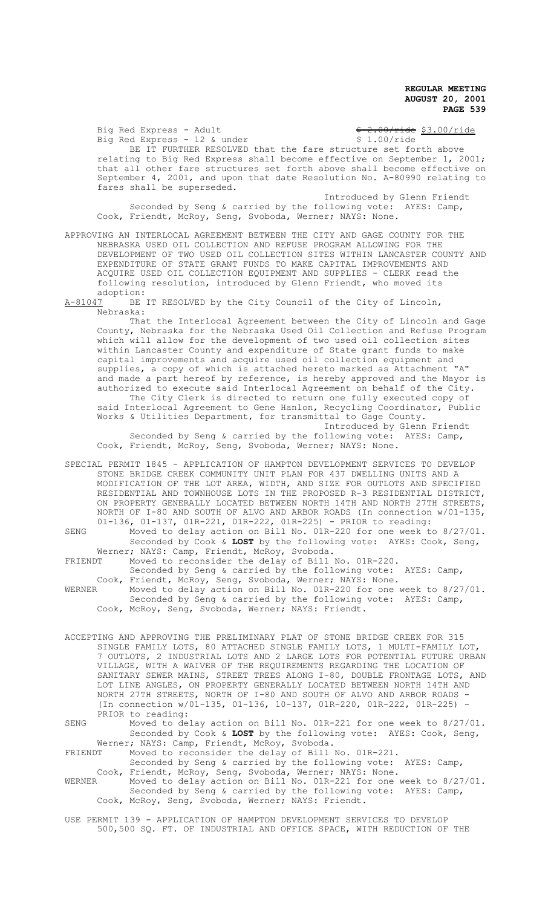Big Red Express - Adult  $\frac{6}{5}$  2.00/ride  $\frac{53.00/\text{ride}}{2}$  Big Red Express - 12 & under  $\frac{53.00/\text{ride}}{2}$ Big Red Express - 12 & under BE IT FURTHER RESOLVED that the fare structure set forth above relating to Big Red Express shall become effective on September 1, 2001; that all other fare structures set forth above shall become effective on September 4, 2001, and upon that date Resolution No. A-80990 relating to fares shall be superseded.

Introduced by Glenn Friendt Seconded by Seng & carried by the following vote: AYES: Camp, Cook, Friendt, McRoy, Seng, Svoboda, Werner; NAYS: None.

APPROVING AN INTERLOCAL AGREEMENT BETWEEN THE CITY AND GAGE COUNTY FOR THE NEBRASKA USED OIL COLLECTION AND REFUSE PROGRAM ALLOWING FOR THE DEVELOPMENT OF TWO USED OIL COLLECTION SITES WITHIN LANCASTER COUNTY AND EXPENDITURE OF STATE GRANT FUNDS TO MAKE CAPITAL IMPROVEMENTS AND ACQUIRE USED OIL COLLECTION EQUIPMENT AND SUPPLIES - CLERK read the following resolution, introduced by Glenn Friendt, who moved its adoption:<br>A-81047 BE

BE IT RESOLVED by the City Council of the City of Lincoln, Nebraska:

That the Interlocal Agreement between the City of Lincoln and Gage County, Nebraska for the Nebraska Used Oil Collection and Refuse Program which will allow for the development of two used oil collection sites within Lancaster County and expenditure of State grant funds to make capital improvements and acquire used oil collection equipment and supplies, a copy of which is attached hereto marked as Attachment "A" and made a part hereof by reference, is hereby approved and the Mayor is authorized to execute said Interlocal Agreement on behalf of the City. The City Clerk is directed to return one fully executed copy of said Interlocal Agreement to Gene Hanlon, Recycling Coordinator, Public Works & Utilities Department, for transmittal to Gage County. Introduced by Glenn Friendt

Seconded by Seng & carried by the following vote: AYES: Camp, Cook, Friendt, McRoy, Seng, Svoboda, Werner; NAYS: None.

SPECIAL PERMIT 1845 - APPLICATION OF HAMPTON DEVELOPMENT SERVICES TO DEVELOP STONE BRIDGE CREEK COMMUNITY UNIT PLAN FOR 437 DWELLING UNITS AND A MODIFICATION OF THE LOT AREA, WIDTH, AND SIZE FOR OUTLOTS AND SPECIFIED RESIDENTIAL AND TOWNHOUSE LOTS IN THE PROPOSED R-3 RESIDENTIAL DISTRICT, ON PROPERTY GENERALLY LOCATED BETWEEN NORTH 14TH AND NORTH 27TH STREETS, NORTH OF I-80 AND SOUTH OF ALVO AND ARBOR ROADS (In connection w/01-135, 01-136, 01-137, 01R-221, 01R-222, 01R-225) - PRIOR to reading:

SENG Moved to delay action on Bill No. 01R-220 for one week to 8/27/01. Seconded by Cook & **LOST** by the following vote: AYES: Cook, Seng, Werner; NAYS: Camp, Friendt, McRoy, Svoboda.

FRIENDT Moved to reconsider the delay of Bill No. 01R-220.

Seconded by Seng & carried by the following vote: AYES: Camp, Cook, Friendt, McRoy, Seng, Svoboda, Werner; NAYS: None.<br>WERNER Moved to delay action on Bill No. 01R-220 for one

Moved to delay action on Bill No. 01R-220 for one week to 8/27/01. Seconded by Seng & carried by the following vote: AYES: Camp, Cook, McRoy, Seng, Svoboda, Werner; NAYS: Friendt.

ACCEPTING AND APPROVING THE PRELIMINARY PLAT OF STONE BRIDGE CREEK FOR 315 SINGLE FAMILY LOTS, 80 ATTACHED SINGLE FAMILY LOTS, 1 MULTI-FAMILY LOT, 7 OUTLOTS, 2 INDUSTRIAL LOTS AND 2 LARGE LOTS FOR POTENTIAL FUTURE URBAN VILLAGE, WITH A WAIVER OF THE REQUIREMENTS REGARDING THE LOCATION OF SANITARY SEWER MAINS, STREET TREES ALONG I-80, DOUBLE FRONTAGE LOTS, AND LOT LINE ANGLES, ON PROPERTY GENERALLY LOCATED BETWEEN NORTH 14TH AND NORTH 27TH STREETS, NORTH OF I-80 AND SOUTH OF ALVO AND ARBOR ROADS - (In connection w/01-135, 01-136, 10-137, 01R-220, 01R-222, 01R-225) - PRIOR to reading:

SENG Moved to delay action on Bill No. 01R-221 for one week to 8/27/01. Seconded by Cook & **LOST** by the following vote: AYES: Cook, Seng, Werner; NAYS: Camp, Friendt, McRoy, Svoboda.<br>FRIENDT Moved to reconsider the delay of Bill

Moved to reconsider the delay of Bill No. 01R-221. Seconded by Seng & carried by the following vote: AYES: Camp,

Cook, Friendt, McRoy, Seng, Svoboda, Werner; NAYS: None. WERNER Moved to delay action on Bill No. 01R-221 for one week to 8/27/01. Seconded by Seng & carried by the following vote: AYES: Camp, Cook, McRoy, Seng, Svoboda, Werner; NAYS: Friendt.

USE PERMIT 139 - APPLICATION OF HAMPTON DEVELOPMENT SERVICES TO DEVELOP 500,500 SQ. FT. OF INDUSTRIAL AND OFFICE SPACE, WITH REDUCTION OF THE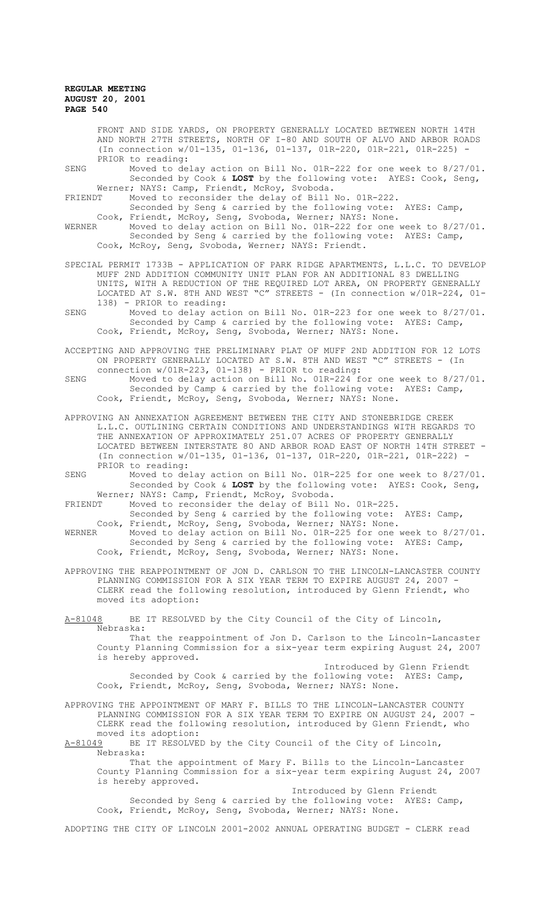FRONT AND SIDE YARDS, ON PROPERTY GENERALLY LOCATED BETWEEN NORTH 14TH AND NORTH 27TH STREETS, NORTH OF I-80 AND SOUTH OF ALVO AND ARBOR ROADS (In connection w/01-135, 01-136, 01-137, 01R-220, 01R-221, 01R-225) - PRIOR to reading:

- SENG Moved to delay action on Bill No. 01R-222 for one week to 8/27/01. Seconded by Cook & **LOST** by the following vote: AYES: Cook, Seng, Werner; NAYS: Camp, Friendt, McRoy, Svoboda.
- FRIENDT Moved to reconsider the delay of Bill No. 01R-222. Seconded by Seng & carried by the following vote: AYES: Camp, Cook, Friendt, McRoy, Seng, Svoboda, Werner; NAYS: None.
- WERNER Moved to delay action on Bill No. 01R-222 for one week to 8/27/01. Seconded by Seng & carried by the following vote: AYES: Camp, Cook, McRoy, Seng, Svoboda, Werner; NAYS: Friendt.
- SPECIAL PERMIT 1733B APPLICATION OF PARK RIDGE APARTMENTS, L.L.C. TO DEVELOP MUFF 2ND ADDITION COMMUNITY UNIT PLAN FOR AN ADDITIONAL 83 DWELLING UNITS, WITH A REDUCTION OF THE REQUIRED LOT AREA, ON PROPERTY GENERALLY LOCATED AT S.W. 8TH AND WEST "C" STREETS - (In connection w/01R-224, 01- 138) - PRIOR to reading:
- SENG Moved to delay action on Bill No. 01R-223 for one week to 8/27/01. Seconded by Camp & carried by the following vote: AYES: Camp, Cook, Friendt, McRoy, Seng, Svoboda, Werner; NAYS: None.
- ACCEPTING AND APPROVING THE PRELIMINARY PLAT OF MUFF 2ND ADDITION FOR 12 LOTS ON PROPERTY GENERALLY LOCATED AT S.W. 8TH AND WEST "C" STREETS - (In connection w/01R-223, 01-138) - PRIOR to reading:
- SENG Moved to delay action on Bill No. 01R-224 for one week to 8/27/01. Seconded by Camp & carried by the following vote: AYES: Camp, Cook, Friendt, McRoy, Seng, Svoboda, Werner; NAYS: None.
- APPROVING AN ANNEXATION AGREEMENT BETWEEN THE CITY AND STONEBRIDGE CREEK L.L.C. OUTLINING CERTAIN CONDITIONS AND UNDERSTANDINGS WITH REGARDS TO THE ANNEXATION OF APPROXIMATELY 251.07 ACRES OF PROPERTY GENERALLY LOCATED BETWEEN INTERSTATE 80 AND ARBOR ROAD EAST OF NORTH 14TH STREET - (In connection w/01-135, 01-136, 01-137, 01R-220, 01R-221, 01R-222) - PRIOR to reading:
- SENG Moved to delay action on Bill No. 01R-225 for one week to 8/27/01. Seconded by Cook & **LOST** by the following vote: AYES: Cook, Seng, Werner; NAYS: Camp, Friendt, McRoy, Svoboda.<br>FRIENDT Moved to reconsider the delay of Bill
- Moved to reconsider the delay of Bill No. 01R-225. Seconded by Seng & carried by the following vote: AYES: Camp,
- Cook, Friendt, McRoy, Seng, Svoboda, Werner; NAYS: None. WERNER Moved to delay action on Bill No. 01R-225 for one week to 8/27/01. Seconded by Seng & carried by the following vote: AYES: Camp, Cook, Friendt, McRoy, Seng, Svoboda, Werner; NAYS: None.
- APPROVING THE REAPPOINTMENT OF JON D. CARLSON TO THE LINCOLN-LANCASTER COUNTY PLANNING COMMISSION FOR A SIX YEAR TERM TO EXPIRE AUGUST 24, 2007 - CLERK read the following resolution, introduced by Glenn Friendt, who moved its adoption:
- A-81048 BE IT RESOLVED by the City Council of the City of Lincoln, Nebraska:
	- That the reappointment of Jon D. Carlson to the Lincoln-Lancaster County Planning Commission for a six-year term expiring August 24, 2007 is hereby approved.

Introduced by Glenn Friendt Seconded by Cook & carried by the following vote: AYES: Camp, Cook, Friendt, McRoy, Seng, Svoboda, Werner; NAYS: None.

- APPROVING THE APPOINTMENT OF MARY F. BILLS TO THE LINCOLN-LANCASTER COUNTY PLANNING COMMISSION FOR A SIX YEAR TERM TO EXPIRE ON AUGUST 24, 2007 - CLERK read the following resolution, introduced by Glenn Friendt, who moved its adoption:<br><u>A-81049</u> BE IT RESOLVE
- BE IT RESOLVED by the City Council of the City of Lincoln, Nebraska:

That the appointment of Mary F. Bills to the Lincoln-Lancaster County Planning Commission for a six-year term expiring August 24, 2007 is hereby approved.

Introduced by Glenn Friendt Seconded by Seng & carried by the following vote: AYES: Camp, Cook, Friendt, McRoy, Seng, Svoboda, Werner; NAYS: None.

ADOPTING THE CITY OF LINCOLN 2001-2002 ANNUAL OPERATING BUDGET - CLERK read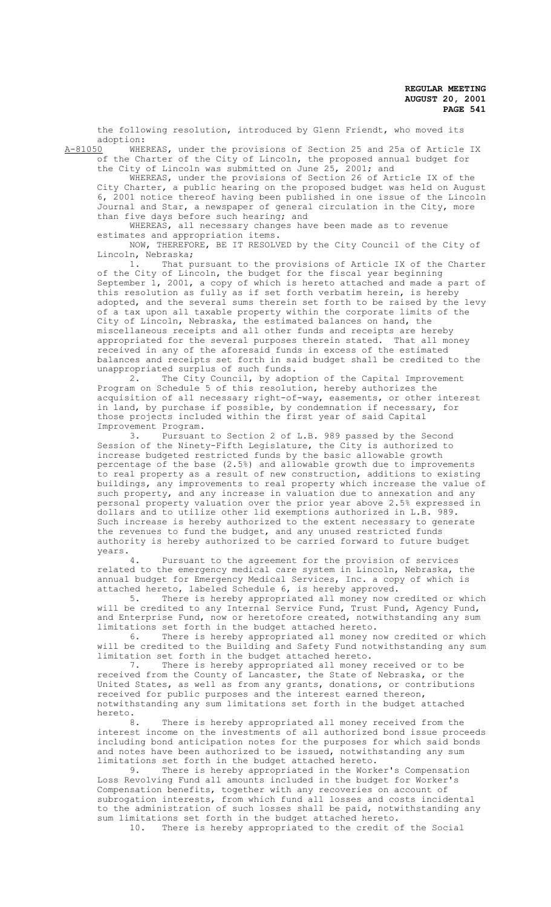the following resolution, introduced by Glenn Friendt, who moved its adoption:<br>A-81050 WHE

WHEREAS, under the provisions of Section 25 and 25a of Article IX of the Charter of the City of Lincoln, the proposed annual budget for the City of Lincoln was submitted on June 25, 2001; and

WHEREAS, under the provisions of Section 26 of Article IX of the City Charter, a public hearing on the proposed budget was held on August 6, 2001 notice thereof having been published in one issue of the Lincoln Journal and Star, a newspaper of general circulation in the City, more than five days before such hearing; and

WHEREAS, all necessary changes have been made as to revenue estimates and appropriation items.

NOW, THEREFORE, BE IT RESOLVED by the City Council of the City of Lincoln, Nebraska;

1. That pursuant to the provisions of Article IX of the Charter of the City of Lincoln, the budget for the fiscal year beginning September 1, 2001, a copy of which is hereto attached and made a part of this resolution as fully as if set forth verbatim herein, is hereby adopted, and the several sums therein set forth to be raised by the levy of a tax upon all taxable property within the corporate limits of the City of Lincoln, Nebraska, the estimated balances on hand, the miscellaneous receipts and all other funds and receipts are hereby appropriated for the several purposes therein stated. That all money received in any of the aforesaid funds in excess of the estimated balances and receipts set forth in said budget shall be credited to the unappropriated surplus of such funds.

2. The City Council, by adoption of the Capital Improvement Program on Schedule 5 of this resolution, hereby authorizes the acquisition of all necessary right-of-way, easements, or other interest in land, by purchase if possible, by condemnation if necessary, for those projects included within the first year of said Capital Improvement Program.

Pursuant to Section 2 of L.B. 989 passed by the Second Session of the Ninety-Fifth Legislature, the City is authorized to increase budgeted restricted funds by the basic allowable growth percentage of the base (2.5%) and allowable growth due to improvements to real property as a result of new construction, additions to existing buildings, any improvements to real property which increase the value of such property, and any increase in valuation due to annexation and any personal property valuation over the prior year above 2.5% expressed in dollars and to utilize other lid exemptions authorized in L.B. 989. Such increase is hereby authorized to the extent necessary to generate the revenues to fund the budget, and any unused restricted funds authority is hereby authorized to be carried forward to future budget

years. Pursuant to the agreement for the provision of services related to the emergency medical care system in Lincoln, Nebraska, the annual budget for Emergency Medical Services, Inc. a copy of which is attached hereto, labeled Schedule 6, is hereby approved.<br>5. There is hereby appropriated all money now c:

There is hereby appropriated all money now credited or which will be credited to any Internal Service Fund, Trust Fund, Agency Fund, and Enterprise Fund, now or heretofore created, notwithstanding any sum limitations set forth in the budget attached hereto.<br>6. There is hereby appropriated all money n

There is hereby appropriated all money now credited or which will be credited to the Building and Safety Fund notwithstanding any sum limitation set forth in the budget attached hereto.

7. There is hereby appropriated all money received or to be received from the County of Lancaster, the State of Nebraska, or the United States, as well as from any grants, donations, or contributions received for public purposes and the interest earned thereon, notwithstanding any sum limitations set forth in the budget attached hereto.

There is hereby appropriated all money received from the interest income on the investments of all authorized bond issue proceeds including bond anticipation notes for the purposes for which said bonds and notes have been authorized to be issued, notwithstanding any sum limitations set forth in the budget attached hereto.<br>9. There is hereby appropriated in the Work

There is hereby appropriated in the Worker's Compensation Loss Revolving Fund all amounts included in the budget for Worker's Compensation benefits, together with any recoveries on account of subrogation interests, from which fund all losses and costs incidental to the administration of such losses shall be paid, notwithstanding any sum limitations set forth in the budget attached hereto.<br>10. There is hereby appropriated to the credit of

There is hereby appropriated to the credit of the Social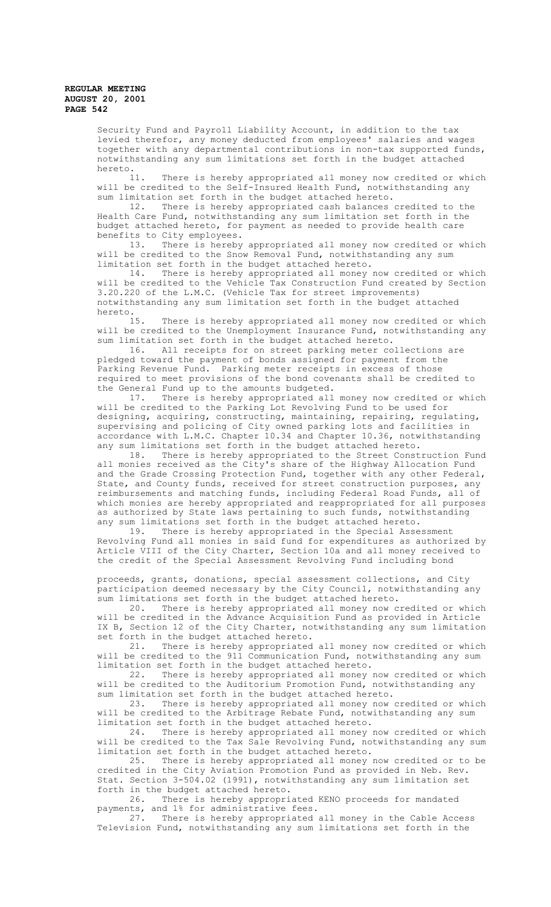Security Fund and Payroll Liability Account, in addition to the tax levied therefor, any money deducted from employees' salaries and wages together with any departmental contributions in non-tax supported funds, notwithstanding any sum limitations set forth in the budget attached hereto.<br>11.

There is hereby appropriated all money now credited or which will be credited to the Self-Insured Health Fund, notwithstanding any sum limitation set forth in the budget attached hereto.

12. There is hereby appropriated cash balances credited to the Health Care Fund, notwithstanding any sum limitation set forth in the budget attached hereto, for payment as needed to provide health care benefits to City employees.

13. There is hereby appropriated all money now credited or which will be credited to the Snow Removal Fund, notwithstanding any sum limitation set forth in the budget attached hereto.

14. There is hereby appropriated all money now credited or which will be credited to the Vehicle Tax Construction Fund created by Section 3.20.220 of the L.M.C. (Vehicle Tax for street improvements) notwithstanding any sum limitation set forth in the budget attached hereto.<br>15.

There is hereby appropriated all money now credited or which will be credited to the Unemployment Insurance Fund, notwithstanding any sum limitation set forth in the budget attached hereto.

16. All receipts for on street parking meter collections are pledged toward the payment of bonds assigned for payment from the Parking Revenue Fund. Parking meter receipts in excess of those required to meet provisions of the bond covenants shall be credited to the General Fund up to the amounts budgeted.

17. There is hereby appropriated all money now credited or which will be credited to the Parking Lot Revolving Fund to be used for designing, acquiring, constructing, maintaining, repairing, regulating, supervising and policing of City owned parking lots and facilities in accordance with L.M.C. Chapter 10.34 and Chapter 10.36, notwithstanding any sum limitations set forth in the budget attached hereto.

18. There is hereby appropriated to the Street Construction Fund all monies received as the City's share of the Highway Allocation Fund and the Grade Crossing Protection Fund, together with any other Federal, State, and County funds, received for street construction purposes, any reimbursements and matching funds, including Federal Road Funds, all of which monies are hereby appropriated and reappropriated for all purposes as authorized by State laws pertaining to such funds, notwithstanding any sum limitations set forth in the budget attached hereto.<br>19. There is hereby appropriated in the Special Asse

There is hereby appropriated in the Special Assessment Revolving Fund all monies in said fund for expenditures as authorized by Article VIII of the City Charter, Section 10a and all money received to the credit of the Special Assessment Revolving Fund including bond

proceeds, grants, donations, special assessment collections, and City participation deemed necessary by the City Council, notwithstanding any sum limitations set forth in the budget attached hereto.

20. There is hereby appropriated all money now credited or which will be credited in the Advance Acquisition Fund as provided in Article IX B, Section 12 of the City Charter, notwithstanding any sum limitation set forth in the budget attached hereto.

21. There is hereby appropriated all money now credited or which will be credited to the 911 Communication Fund, notwithstanding any sum limitation set forth in the budget attached hereto.

There is hereby appropriated all money now credited or which will be credited to the Auditorium Promotion Fund, notwithstanding any sum limitation set forth in the budget attached hereto.

23. There is hereby appropriated all money now credited or which will be credited to the Arbitrage Rebate Fund, notwithstanding any sum limitation set forth in the budget attached hereto.

There is hereby appropriated all money now credited or which will be credited to the Tax Sale Revolving Fund, notwithstanding any sum limitation set forth in the budget attached hereto.

25. There is hereby appropriated all money now credited or to be credited in the City Aviation Promotion Fund as provided in Neb. Rev. Stat. Section 3-504.02 (1991), notwithstanding any sum limitation set forth in the budget attached hereto.

26. There is hereby appropriated KENO proceeds for mandated payments, and 1% for administrative fees.<br>27. There is hereby appropriated

There is hereby appropriated all money in the Cable Access Television Fund, notwithstanding any sum limitations set forth in the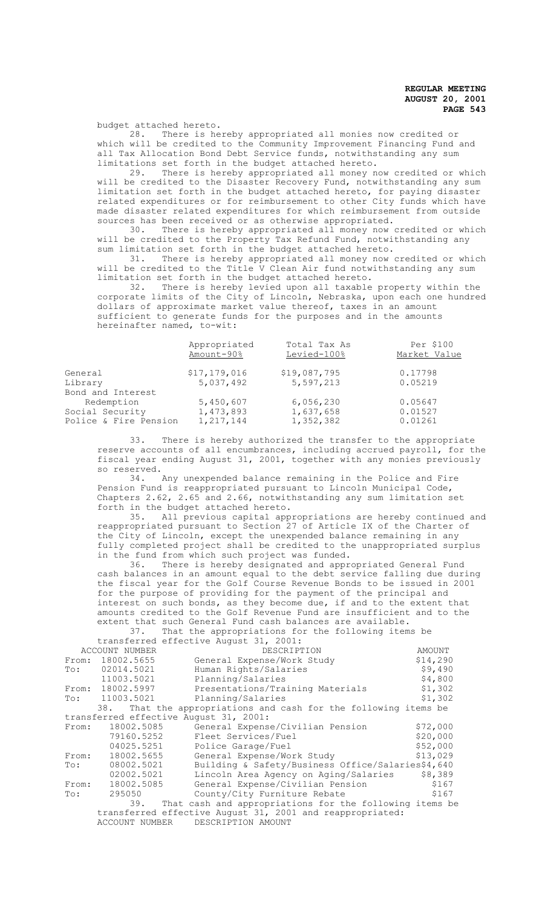budget attached hereto.<br>28. There is he

There is hereby appropriated all monies now credited or which will be credited to the Community Improvement Financing Fund and all Tax Allocation Bond Debt Service funds, notwithstanding any sum limitations set forth in the budget attached hereto.<br>29. There is hereby appropriated all money no

There is hereby appropriated all money now credited or which will be credited to the Disaster Recovery Fund, notwithstanding any sum limitation set forth in the budget attached hereto, for paying disaster related expenditures or for reimbursement to other City funds which have made disaster related expenditures for which reimbursement from outside sources has been received or as otherwise appropriated.<br>30. There is hereby appropriated all money now

There is hereby appropriated all money now credited or which will be credited to the Property Tax Refund Fund, notwithstanding any sum limitation set forth in the budget attached hereto.<br>31. There is hereby appropriated all money now

There is hereby appropriated all money now credited or which will be credited to the Title V Clean Air fund notwithstanding any sum limitation set forth in the budget attached hereto.<br>32. There is hereby levied upon all taxable

There is hereby levied upon all taxable property within the corporate limits of the City of Lincoln, Nebraska, upon each one hundred dollars of approximate market value thereof, taxes in an amount sufficient to generate funds for the purposes and in the amounts hereinafter named, to-wit:

| Appropriated<br>Amount-90% | Total Tax As<br>Levied-100% | Per \$100<br>Market Value |
|----------------------------|-----------------------------|---------------------------|
| \$17,179,016               | \$19,087,795                | 0.17798                   |
| 5,037,492                  | 5,597,213                   | 0.05219                   |
|                            |                             |                           |
| 5,450,607                  | 6,056,230                   | 0.05647                   |
| 1,473,893                  | 1,637,658                   | 0.01527                   |
| 1, 217, 144                | 1,352,382                   | 0.01261                   |
|                            |                             |                           |

33. There is hereby authorized the transfer to the appropriate reserve accounts of all encumbrances, including accrued payroll, for the fiscal year ending August 31, 2001, together with any monies previously so reserved.<br> $34. i$ 

Any unexpended balance remaining in the Police and Fire Pension Fund is reappropriated pursuant to Lincoln Municipal Code, Chapters 2.62, 2.65 and 2.66, notwithstanding any sum limitation set forth in the budget attached hereto.<br>35. All previous capital app

All previous capital appropriations are hereby continued and reappropriated pursuant to Section 27 of Article IX of the Charter of the City of Lincoln, except the unexpended balance remaining in any fully completed project shall be credited to the unappropriated surplus in the fund from which such project was funded.

36. There is hereby designated and appropriated General Fund cash balances in an amount equal to the debt service falling due during the fiscal year for the Golf Course Revenue Bonds to be issued in 2001 for the purpose of providing for the payment of the principal and interest on such bonds, as they become due, if and to the extent that amounts credited to the Golf Revenue Fund are insufficient and to the extent that such General Fund cash balances are available.

|                                                           | 37.              | That the appropriations for the following items be              |          |  |  |
|-----------------------------------------------------------|------------------|-----------------------------------------------------------------|----------|--|--|
|                                                           |                  | transferred effective August 31, 2001:                          |          |  |  |
| ACCOUNT NUMBER                                            |                  | DESCRIPTION                                                     | AMOUNT   |  |  |
|                                                           | From: 18002.5655 | General Expense/Work Study                                      | \$14,290 |  |  |
|                                                           | To: 02014.5021   | Human Rights/Salaries                                           | \$9,490  |  |  |
|                                                           | 11003.5021       | Planning/Salaries                                               | \$4,800  |  |  |
|                                                           | From: 18002.5997 | Presentations/Training Materials                                | \$1,302  |  |  |
|                                                           | To: 11003.5021   | Planning/Salaries                                               | \$1,302  |  |  |
|                                                           |                  | 38. That the appropriations and cash for the following items be |          |  |  |
| transferred effective August 31, 2001:                    |                  |                                                                 |          |  |  |
| From:                                                     | 18002.5085       | General Expense/Civilian Pension                                | \$72,000 |  |  |
|                                                           | 79160.5252       | Fleet Services/Fuel                                             | \$20,000 |  |  |
|                                                           | 04025.5251       | Police Garage/Fuel                                              | \$52,000 |  |  |
| From:                                                     | 18002.5655       | General Expense/Work Study                                      | \$13,029 |  |  |
| To:                                                       | 08002.5021       | Building & Safety/Business Office/Salaries\$4,640               |          |  |  |
|                                                           | 02002.5021       | Lincoln Area Agency on Aging/Salaries                           | \$8,389  |  |  |
| From:                                                     | 18002.5085       | General Expense/Civilian Pension                                | \$167    |  |  |
| To:                                                       | 295050           | County/City Furniture Rebate                                    | \$167    |  |  |
|                                                           | 39.              | That cash and appropriations for the following items be         |          |  |  |
| transferred effective August 31, 2001 and reappropriated: |                  |                                                                 |          |  |  |
|                                                           | ACCOUNT NUMBER   | DESCRIPTION AMOUNT                                              |          |  |  |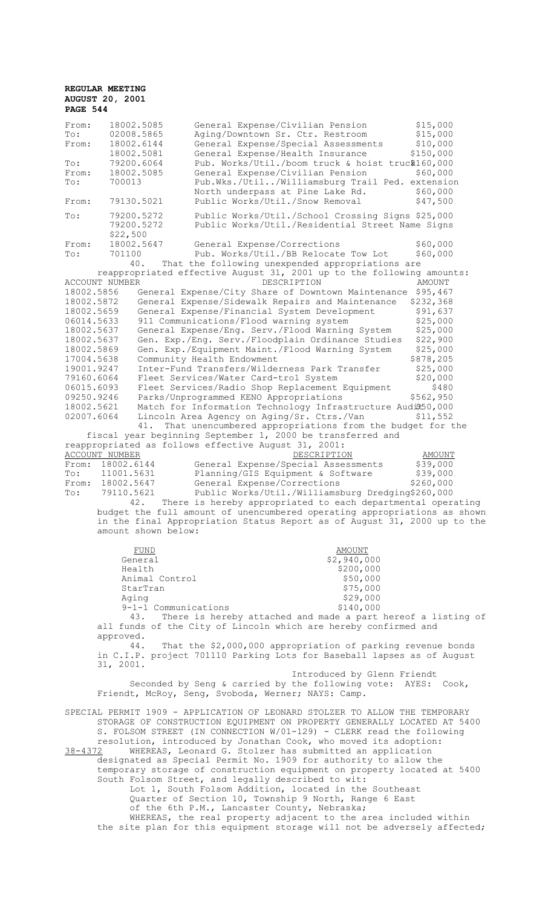| From:<br>To:<br>From:<br>To:<br>From:                                                                                                                                                                                                                                                   | 18002.5085<br>02008.5865<br>18002.6144<br>18002.5081<br>79200.6064<br>18002.5085          | General Expense/Civilian Pension<br>Aging/Downtown Sr. Ctr. Restroom<br>General Expense/Special Assessments<br>General Expense/Health Insurance<br>Pub. Works/Util./boom truck & hoist truc\$160,000<br>General Expense/Civilian Pension                                                                                                                                                                                                                                                                                                                                                                                                                                                                                                                                                                                                                                                                                                                                                                                                                                                                                                                                                                                                                                                                                                                                        | \$15,000<br>\$15,000<br>\$10,000<br>\$150,000<br>\$60,000                                                                                                                                                                       |
|-----------------------------------------------------------------------------------------------------------------------------------------------------------------------------------------------------------------------------------------------------------------------------------------|-------------------------------------------------------------------------------------------|---------------------------------------------------------------------------------------------------------------------------------------------------------------------------------------------------------------------------------------------------------------------------------------------------------------------------------------------------------------------------------------------------------------------------------------------------------------------------------------------------------------------------------------------------------------------------------------------------------------------------------------------------------------------------------------------------------------------------------------------------------------------------------------------------------------------------------------------------------------------------------------------------------------------------------------------------------------------------------------------------------------------------------------------------------------------------------------------------------------------------------------------------------------------------------------------------------------------------------------------------------------------------------------------------------------------------------------------------------------------------------|---------------------------------------------------------------------------------------------------------------------------------------------------------------------------------------------------------------------------------|
| To:<br>From:                                                                                                                                                                                                                                                                            | 700013<br>79130.5021                                                                      | Pub.Wks./Util/Williamsburg Trail Ped. extension<br>North underpass at Pine Lake Rd.<br>Public Works/Util./Snow Removal                                                                                                                                                                                                                                                                                                                                                                                                                                                                                                                                                                                                                                                                                                                                                                                                                                                                                                                                                                                                                                                                                                                                                                                                                                                          | \$60,000<br>\$47,500                                                                                                                                                                                                            |
| To:                                                                                                                                                                                                                                                                                     | 79200.5272<br>79200.5272                                                                  | Public Works/Util./School Crossing Signs \$25,000<br>Public Works/Util./Residential Street Name Signs                                                                                                                                                                                                                                                                                                                                                                                                                                                                                                                                                                                                                                                                                                                                                                                                                                                                                                                                                                                                                                                                                                                                                                                                                                                                           |                                                                                                                                                                                                                                 |
| From:<br>To:                                                                                                                                                                                                                                                                            | \$22,500<br>18002.5647<br>701100<br>40.                                                   | General Expense/Corrections<br>Pub. Works/Util./BB Relocate Tow Lot<br>That the following unexpended appropriations are                                                                                                                                                                                                                                                                                                                                                                                                                                                                                                                                                                                                                                                                                                                                                                                                                                                                                                                                                                                                                                                                                                                                                                                                                                                         | \$60,000<br>\$60,000                                                                                                                                                                                                            |
| ACCOUNT NUMBER<br>18002.5856<br>18002.5872<br>18002.5659<br>06014.5633<br>18002.5637<br>18002.5637<br>18002.5869<br>17004.5638<br>19001.9247<br>79160.6064<br>06015.6093<br>09250.9246<br>18002.5621<br>02007.6064<br><b>ACCOUNT NUMBER</b><br>From:<br>To:<br>From:<br>$\texttt{To}$ : | 41.<br>18002.6144<br>11001.5631<br>18002.5647<br>79110.5621<br>42.<br>amount shown below: | reappropriated effective August 31, 2001 up to the following amounts:<br>DESCRIPTION<br>General Expense/City Share of Downtown Maintenance<br>General Expense/Sidewalk Repairs and Maintenance<br>General Expense/Financial System Development<br>911 Communications/Flood warning system<br>General Expense/Eng. Serv./Flood Warning System<br>Gen. Exp./Eng. Serv./Floodplain Ordinance Studies<br>Gen. Exp./Equipment Maint./Flood Warning System<br>Community Health Endowment<br>Inter-Fund Transfers/Wilderness Park Transfer<br>Fleet Services/Water Card-trol System<br>Fleet Services/Radio Shop Replacement Equipment<br>Parks/Unprogrammed KENO Appropriations<br>Match for Information Technology Infrastructure Audi\$50,000<br>Lincoln Area Agency on Aging/Sr. Ctrs./Van<br>That unencumbered appropriations from the budget for the<br>fiscal year beginning September 1, 2000 be transferred and<br>reappropriated as follows effective August 31, 2001:<br>DESCRIPTION<br>General Expense/Special Assessments<br>Planning/GIS Equipment & Software<br>General Expense/Corrections<br>Public Works/Util./Williamsburg Dredging\$260,000<br>There is hereby appropriated to each departmental operating<br>budget the full amount of unencumbered operating appropriations as shown<br>in the final Appropriation Status Report as of August 31, 2000 up to the | <b>AMOUNT</b><br>\$95,467<br>\$232,368<br>\$91,637<br>\$25,000<br>\$25,000<br>\$22,900<br>\$25,000<br>\$878,205<br>\$25,000<br>\$20,000<br>\$480<br>\$562,950<br>\$11,552<br><b>AMOUNT</b><br>\$39,000<br>\$39,000<br>\$260,000 |
|                                                                                                                                                                                                                                                                                         | <b>FUND</b><br>General                                                                    | <b>AMOUNT</b><br>\$2,940,000                                                                                                                                                                                                                                                                                                                                                                                                                                                                                                                                                                                                                                                                                                                                                                                                                                                                                                                                                                                                                                                                                                                                                                                                                                                                                                                                                    |                                                                                                                                                                                                                                 |
|                                                                                                                                                                                                                                                                                         | Health<br>Animal Control                                                                  | \$200,000<br>\$50,000                                                                                                                                                                                                                                                                                                                                                                                                                                                                                                                                                                                                                                                                                                                                                                                                                                                                                                                                                                                                                                                                                                                                                                                                                                                                                                                                                           |                                                                                                                                                                                                                                 |
|                                                                                                                                                                                                                                                                                         | StarTran                                                                                  | \$75,000                                                                                                                                                                                                                                                                                                                                                                                                                                                                                                                                                                                                                                                                                                                                                                                                                                                                                                                                                                                                                                                                                                                                                                                                                                                                                                                                                                        |                                                                                                                                                                                                                                 |
|                                                                                                                                                                                                                                                                                         | Aging                                                                                     | \$29,000                                                                                                                                                                                                                                                                                                                                                                                                                                                                                                                                                                                                                                                                                                                                                                                                                                                                                                                                                                                                                                                                                                                                                                                                                                                                                                                                                                        |                                                                                                                                                                                                                                 |
|                                                                                                                                                                                                                                                                                         | 9-1-1 Communications                                                                      | \$140,000                                                                                                                                                                                                                                                                                                                                                                                                                                                                                                                                                                                                                                                                                                                                                                                                                                                                                                                                                                                                                                                                                                                                                                                                                                                                                                                                                                       |                                                                                                                                                                                                                                 |
|                                                                                                                                                                                                                                                                                         | 43.<br>approved.                                                                          | There is hereby attached and made a part hereof a listing of<br>all funds of the City of Lincoln which are hereby confirmed and                                                                                                                                                                                                                                                                                                                                                                                                                                                                                                                                                                                                                                                                                                                                                                                                                                                                                                                                                                                                                                                                                                                                                                                                                                                 |                                                                                                                                                                                                                                 |
|                                                                                                                                                                                                                                                                                         | 44.<br>31, 2001.                                                                          | That the \$2,000,000 appropriation of parking revenue bonds<br>in C.I.P. project 701110 Parking Lots for Baseball lapses as of August                                                                                                                                                                                                                                                                                                                                                                                                                                                                                                                                                                                                                                                                                                                                                                                                                                                                                                                                                                                                                                                                                                                                                                                                                                           |                                                                                                                                                                                                                                 |
|                                                                                                                                                                                                                                                                                         |                                                                                           | Introduced by Glenn Friendt<br>Seconded by Seng & carried by the following vote: AYES: Cook,<br>Friendt, McRoy, Seng, Svoboda, Werner; NAYS: Camp.                                                                                                                                                                                                                                                                                                                                                                                                                                                                                                                                                                                                                                                                                                                                                                                                                                                                                                                                                                                                                                                                                                                                                                                                                              |                                                                                                                                                                                                                                 |
| 38-4372                                                                                                                                                                                                                                                                                 |                                                                                           | SPECIAL PERMIT 1909 - APPLICATION OF LEONARD STOLZER TO ALLOW THE TEMPORARY<br>STORAGE OF CONSTRUCTION EQUIPMENT ON PROPERTY GENERALLY LOCATED AT 5400<br>S. FOLSOM STREET (IN CONNECTION W/01-129) - CLERK read the following<br>resolution, introduced by Jonathan Cook, who moved its adoption:<br>WHEREAS, Leonard G. Stolzer has submitted an application<br>designated as Special Permit No. 1909 for authority to allow the<br>temporary storage of construction equipment on property located at 5400<br>South Folsom Street, and legally described to wit:<br>Lot 1, South Folsom Addition, located in the Southeast<br>Quarter of Section 10, Township 9 North, Range 6 East<br>of the 6th P.M., Lancaster County, Nebraska;                                                                                                                                                                                                                                                                                                                                                                                                                                                                                                                                                                                                                                          |                                                                                                                                                                                                                                 |
|                                                                                                                                                                                                                                                                                         |                                                                                           | WHEREAS, the real property adjacent to the area included within<br>the site plan for this equipment storage will not be adversely affected;                                                                                                                                                                                                                                                                                                                                                                                                                                                                                                                                                                                                                                                                                                                                                                                                                                                                                                                                                                                                                                                                                                                                                                                                                                     |                                                                                                                                                                                                                                 |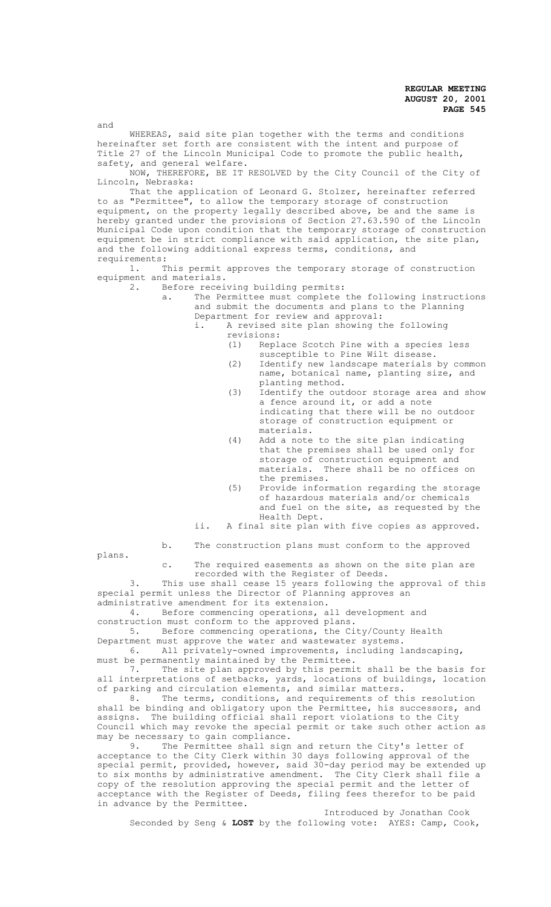and

WHEREAS, said site plan together with the terms and conditions hereinafter set forth are consistent with the intent and purpose of Title 27 of the Lincoln Municipal Code to promote the public health, safety, and general welfare.

NOW, THEREFORE, BE IT RESOLVED by the City Council of the City of Lincoln, Nebraska:

That the application of Leonard G. Stolzer, hereinafter referred to as "Permittee", to allow the temporary storage of construction equipment, on the property legally described above, be and the same is hereby granted under the provisions of Section 27.63.590 of the Lincoln Municipal Code upon condition that the temporary storage of construction equipment be in strict compliance with said application, the site plan, and the following additional express terms, conditions, and requirements:

1. This permit approves the temporary storage of construction equipment and materials.<br>2. Before recei

Before receiving building permits:

a. The Permittee must complete the following instructions and submit the documents and plans to the Planning Department for review and approval:

i. A revised site plan showing the following revisions:<br>(1) Repl

Replace Scotch Pine with a species less susceptible to Pine Wilt disease.

- (2) Identify new landscape materials by common name, botanical name, planting size, and planting method.
- (3) Identify the outdoor storage area and show a fence around it, or add a note indicating that there will be no outdoor storage of construction equipment or materials.
- (4) Add a note to the site plan indicating that the premises shall be used only for storage of construction equipment and materials. There shall be no offices on the premises.
- (5) Provide information regarding the storage of hazardous materials and/or chemicals and fuel on the site, as requested by the Health Dept.

ii. A final site plan with five copies as approved.

b. The construction plans must conform to the approved

plans.

c. The required easements as shown on the site plan are recorded with the Register of Deeds.

3. This use shall cease 15 years following the approval of this special permit unless the Director of Planning approves an administrative amendment for its extension.

4. Before commencing operations, all development and construction must conform to the approved plans.

5. Before commencing operations, the City/County Health

Department must approve the water and wastewater systems.<br>6. All privately-owned improvements, including 1 All privately-owned improvements, including landscaping, must be permanently maintained by the Permittee.

7. The site plan approved by this permit shall be the basis for all interpretations of setbacks, yards, locations of buildings, location

of parking and circulation elements, and similar matters.<br>8. The terms, conditions, and requirements of the The terms, conditions, and requirements of this resolution shall be binding and obligatory upon the Permittee, his successors, and assigns. The building official shall report violations to the City Council which may revoke the special permit or take such other action as may be necessary to gain compliance.<br>9. The Permittee shall sign

The Permittee shall sign and return the City's letter of acceptance to the City Clerk within 30 days following approval of the special permit, provided, however, said 30-day period may be extended up to six months by administrative amendment. The City Clerk shall file a copy of the resolution approving the special permit and the letter of acceptance with the Register of Deeds, filing fees therefor to be paid in advance by the Permittee.

Introduced by Jonathan Cook Seconded by Seng & **LOST** by the following vote: AYES: Camp, Cook,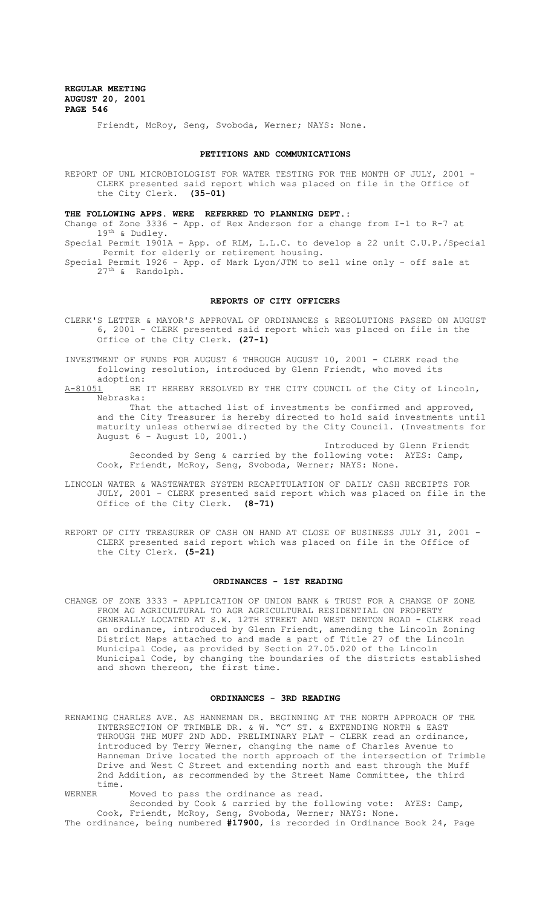Friendt, McRoy, Seng, Svoboda, Werner; NAYS: None.

### **PETITIONS AND COMMUNICATIONS**

REPORT OF UNL MICROBIOLOGIST FOR WATER TESTING FOR THE MONTH OF JULY, 2001 -CLERK presented said report which was placed on file in the Office of the City Clerk. **(35-01)**

#### **THE FOLLOWING APPS. WERE REFERRED TO PLANNING DEPT.:**

Change of Zone 3336 - App. of Rex Anderson for a change from I-1 to R-7 at 19th & Dudley.

Special Permit 1901A - App. of RLM, L.L.C. to develop a 22 unit C.U.P./Special Permit for elderly or retirement housing.

Special Permit 1926 - App. of Mark Lyon/JTM to sell wine only - off sale at 27th & Randolph.

#### **REPORTS OF CITY OFFICERS**

CLERK'S LETTER & MAYOR'S APPROVAL OF ORDINANCES & RESOLUTIONS PASSED ON AUGUST 6, 2001 - CLERK presented said report which was placed on file in the Office of the City Clerk. **(27-1)**

INVESTMENT OF FUNDS FOR AUGUST 6 THROUGH AUGUST 10, 2001 - CLERK read the following resolution, introduced by Glenn Friendt, who moved its

adoption:<br><u>A-81051</u> BE BE IT HEREBY RESOLVED BY THE CITY COUNCIL of the City of Lincoln, Nebraska:

That the attached list of investments be confirmed and approved, and the City Treasurer is hereby directed to hold said investments until maturity unless otherwise directed by the City Council. (Investments for August 6 - August 10, 2001.)

Introduced by Glenn Friendt Seconded by Seng & carried by the following vote: AYES: Camp, Cook, Friendt, McRoy, Seng, Svoboda, Werner; NAYS: None.

- LINCOLN WATER & WASTEWATER SYSTEM RECAPITULATION OF DAILY CASH RECEIPTS FOR JULY, 2001 - CLERK presented said report which was placed on file in the Office of the City Clerk. **(8-71)**
- REPORT OF CITY TREASURER OF CASH ON HAND AT CLOSE OF BUSINESS JULY 31, 2001 CLERK presented said report which was placed on file in the Office of the City Clerk. **(5-21)**

# **ORDINANCES - 1ST READING**

CHANGE OF ZONE 3333 - APPLICATION OF UNION BANK & TRUST FOR A CHANGE OF ZONE FROM AG AGRICULTURAL TO AGR AGRICULTURAL RESIDENTIAL ON PROPERTY GENERALLY LOCATED AT S.W. 12TH STREET AND WEST DENTON ROAD - CLERK read an ordinance, introduced by Glenn Friendt, amending the Lincoln Zoning District Maps attached to and made a part of Title 27 of the Lincoln Municipal Code, as provided by Section 27.05.020 of the Lincoln Municipal Code, by changing the boundaries of the districts established and shown thereon, the first time.

#### **ORDINANCES - 3RD READING**

RENAMING CHARLES AVE. AS HANNEMAN DR. BEGINNING AT THE NORTH APPROACH OF THE INTERSECTION OF TRIMBLE DR. & W. "C" ST. & EXTENDING NORTH & EAST THROUGH THE MUFF 2ND ADD. PRELIMINARY PLAT - CLERK read an ordinance, introduced by Terry Werner, changing the name of Charles Avenue to Hanneman Drive located the north approach of the intersection of Trimble Drive and West C Street and extending north and east through the Muff 2nd Addition, as recommended by the Street Name Committee, the third time.<br>WERNER

Moved to pass the ordinance as read.

Seconded by Cook & carried by the following vote: AYES: Camp, Cook, Friendt, McRoy, Seng, Svoboda, Werner; NAYS: None. The ordinance, being numbered **#17900**, is recorded in Ordinance Book 24, Page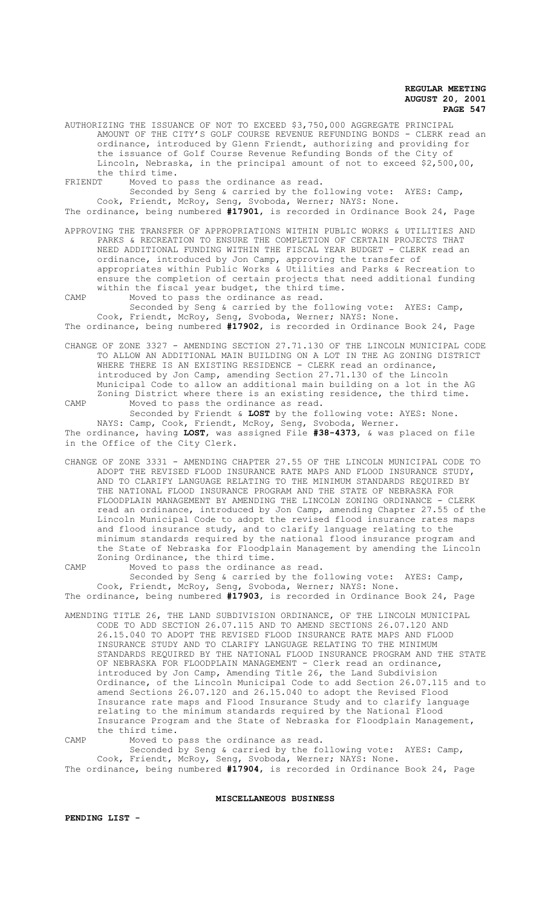AUTHORIZING THE ISSUANCE OF NOT TO EXCEED \$3,750,000 AGGREGATE PRINCIPAL AMOUNT OF THE CITY'S GOLF COURSE REVENUE REFUNDING BONDS - CLERK read an ordinance, introduced by Glenn Friendt, authorizing and providing for the issuance of Golf Course Revenue Refunding Bonds of the City of Lincoln, Nebraska, in the principal amount of not to exceed \$2,500,00, the third time.<br>FRIENDT Moved to

FRIENDT Moved to pass the ordinance as read.

Seconded by Seng & carried by the following vote: AYES: Camp, Cook, Friendt, McRoy, Seng, Svoboda, Werner; NAYS: None.

The ordinance, being numbered **#17901**, is recorded in Ordinance Book 24, Page

APPROVING THE TRANSFER OF APPROPRIATIONS WITHIN PUBLIC WORKS & UTILITIES AND PARKS & RECREATION TO ENSURE THE COMPLETION OF CERTAIN PROJECTS THAT NEED ADDITIONAL FUNDING WITHIN THE FISCAL YEAR BUDGET - CLERK read an ordinance, introduced by Jon Camp, approving the transfer of appropriates within Public Works & Utilities and Parks & Recreation to ensure the completion of certain projects that need additional funding within the fiscal year budget, the third time.

CAMP Moved to pass the ordinance as read.

Seconded by Seng & carried by the following vote: AYES: Camp, Cook, Friendt, McRoy, Seng, Svoboda, Werner; NAYS: None. The ordinance, being numbered **#17902**, is recorded in Ordinance Book 24, Page

CHANGE OF ZONE 3327 - AMENDING SECTION 27.71.130 OF THE LINCOLN MUNICIPAL CODE TO ALLOW AN ADDITIONAL MAIN BUILDING ON A LOT IN THE AG ZONING DISTRICT WHERE THERE IS AN EXISTING RESIDENCE - CLERK read an ordinance, introduced by Jon Camp, amending Section 27.71.130 of the Lincoln

Municipal Code to allow an additional main building on a lot in the AG Zoning District where there is an existing residence, the third time. CAMP Moved to pass the ordinance as read.

Seconded by Friendt & **LOST** by the following vote: AYES: None. NAYS: Camp, Cook, Friendt, McRoy, Seng, Svoboda, Werner. The ordinance, having **LOST**, was assigned File **#38-4373**, & was placed on file in the Office of the City Clerk.

CHANGE OF ZONE 3331 - AMENDING CHAPTER 27.55 OF THE LINCOLN MUNICIPAL CODE TO ADOPT THE REVISED FLOOD INSURANCE RATE MAPS AND FLOOD INSURANCE STUDY, AND TO CLARIFY LANGUAGE RELATING TO THE MINIMUM STANDARDS REQUIRED BY THE NATIONAL FLOOD INSURANCE PROGRAM AND THE STATE OF NEBRASKA FOR FLOODPLAIN MANAGEMENT BY AMENDING THE LINCOLN ZONING ORDINANCE - CLERK read an ordinance, introduced by Jon Camp, amending Chapter 27.55 of the Lincoln Municipal Code to adopt the revised flood insurance rates maps and flood insurance study, and to clarify language relating to the minimum standards required by the national flood insurance program and the State of Nebraska for Floodplain Management by amending the Lincoln Zoning Ordinance, the third time.

CAMP Moved to pass the ordinance as read. Seconded by Seng & carried by the following vote: AYES: Camp, Cook, Friendt, McRoy, Seng, Svoboda, Werner; NAYS: None. The ordinance, being numbered **#17903**, is recorded in Ordinance Book 24, Page

AMENDING TITLE 26, THE LAND SUBDIVISION ORDINANCE, OF THE LINCOLN MUNICIPAL CODE TO ADD SECTION 26.07.115 AND TO AMEND SECTIONS 26.07.120 AND 26.15.040 TO ADOPT THE REVISED FLOOD INSURANCE RATE MAPS AND FLOOD INSURANCE STUDY AND TO CLARIFY LANGUAGE RELATING TO THE MINIMUM STANDARDS REQUIRED BY THE NATIONAL FLOOD INSURANCE PROGRAM AND THE STATE OF NEBRASKA FOR FLOODPLAIN MANAGEMENT - Clerk read an ordinance, introduced by Jon Camp, Amending Title 26, the Land Subdivision Ordinance, of the Lincoln Municipal Code to add Section 26.07.115 and to amend Sections 26.07.120 and 26.15.040 to adopt the Revised Flood Insurance rate maps and Flood Insurance Study and to clarify language relating to the minimum standards required by the National Flood Insurance Program and the State of Nebraska for Floodplain Management, the third time.

CAMP Moved to pass the ordinance as read. Seconded by Seng & carried by the following vote: AYES: Camp, Cook, Friendt, McRoy, Seng, Svoboda, Werner; NAYS: None. The ordinance, being numbered **#17904**, is recorded in Ordinance Book 24, Page

**MISCELLANEOUS BUSINESS**

**PENDING LIST -**